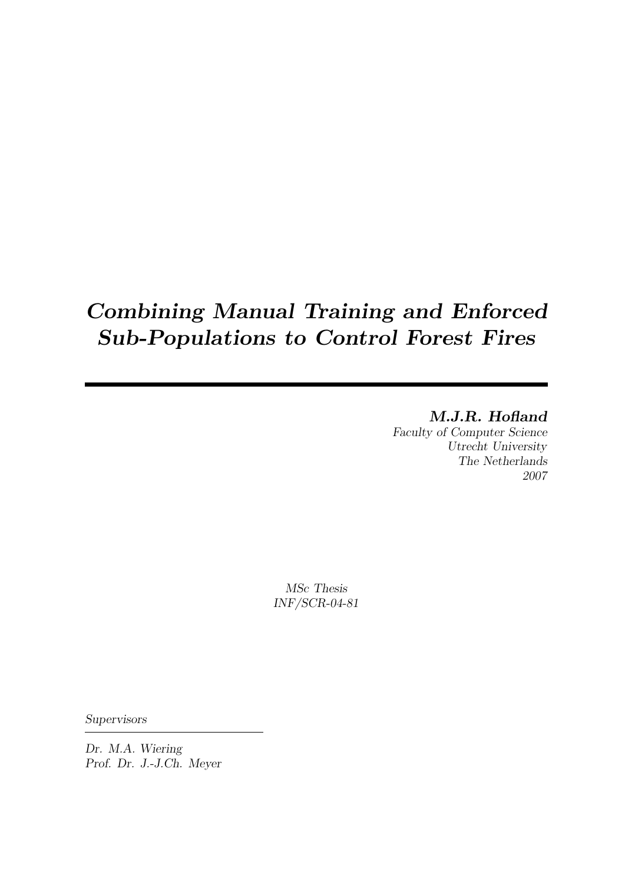# Combining Manual Training and Enforced Sub-Populations to Control Forest Fires

## M.J.R. Hofland

Faculty of Computer Science Utrecht University The Netherlands 2007

MSc Thesis INF/SCR-04-81

**Supervisors** 

Dr. M.A. Wiering Prof. Dr. J.-J.Ch. Meyer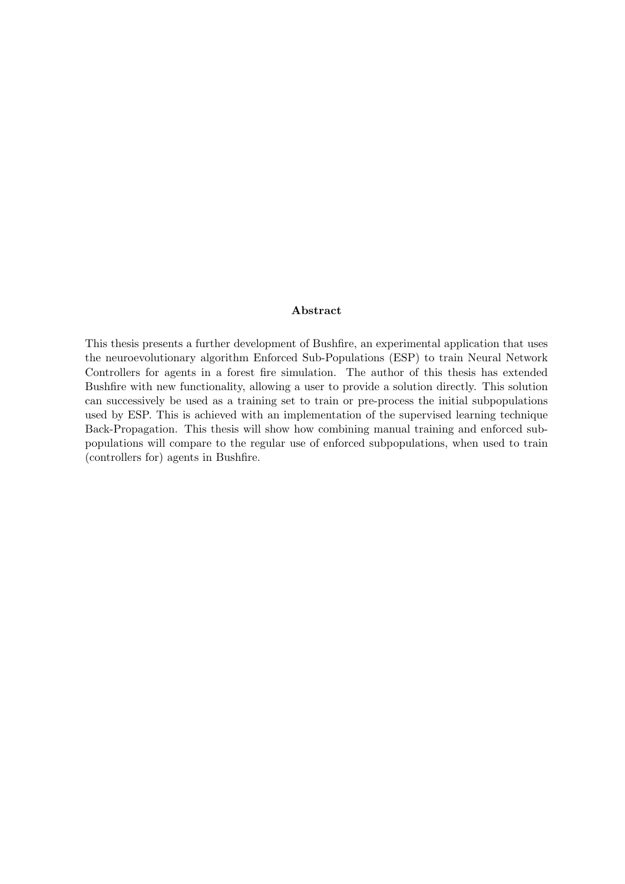#### Abstract

This thesis presents a further development of Bushfire, an experimental application that uses the neuroevolutionary algorithm Enforced Sub-Populations (ESP) to train Neural Network Controllers for agents in a forest fire simulation. The author of this thesis has extended Bushfire with new functionality, allowing a user to provide a solution directly. This solution can successively be used as a training set to train or pre-process the initial subpopulations used by ESP. This is achieved with an implementation of the supervised learning technique Back-Propagation. This thesis will show how combining manual training and enforced subpopulations will compare to the regular use of enforced subpopulations, when used to train (controllers for) agents in Bushfire.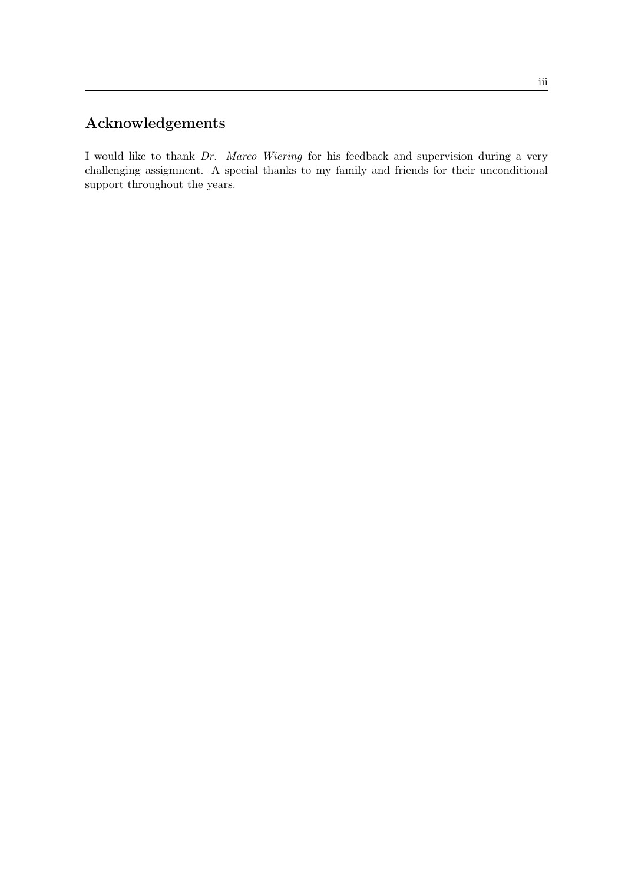## Acknowledgements

I would like to thank Dr. Marco Wiering for his feedback and supervision during a very challenging assignment. A special thanks to my family and friends for their unconditional support throughout the years.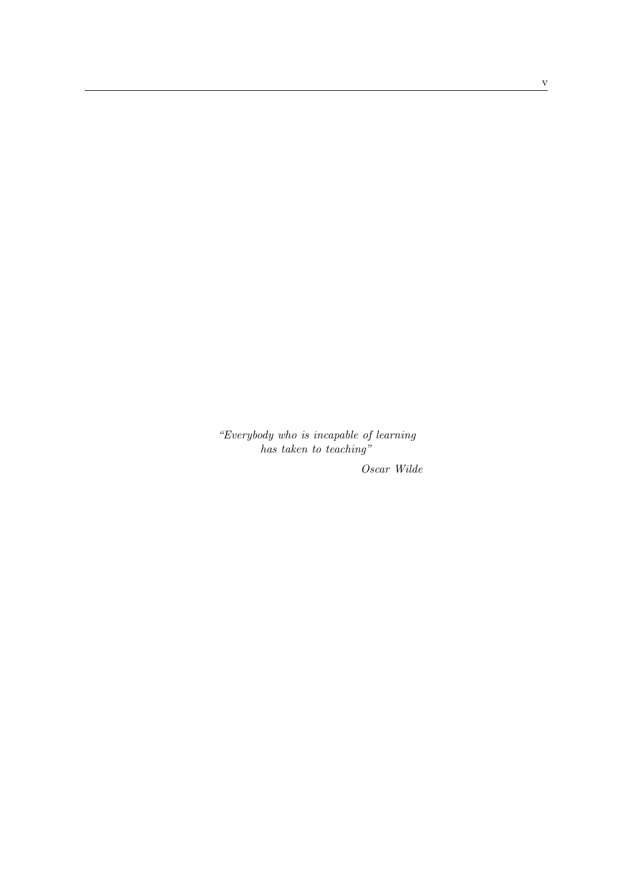"Everybody who is incapable of learning has taken to teaching"

Oscar Wilde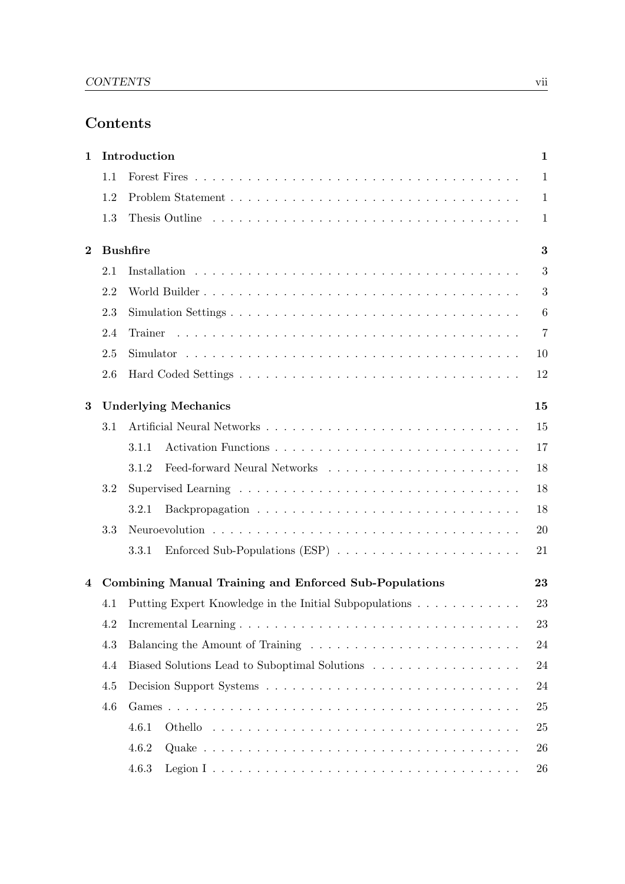## Contents

| 1        |     | Introduction                                           | $\mathbf{1}$    |
|----------|-----|--------------------------------------------------------|-----------------|
|          | 1.1 |                                                        | $\mathbf{1}$    |
|          | 1.2 |                                                        | $\mathbf{1}$    |
|          | 1.3 |                                                        | 1               |
| $\bf{2}$ |     | <b>Bushfire</b>                                        | 3               |
|          | 2.1 |                                                        | 3               |
|          | 2.2 |                                                        | 3               |
|          | 2.3 |                                                        | $6\phantom{.}6$ |
|          | 2.4 | Trainer                                                | 7               |
|          | 2.5 |                                                        | 10              |
|          | 2.6 |                                                        | 12              |
| 3        |     | <b>Underlying Mechanics</b>                            | 15              |
|          | 3.1 |                                                        | 15              |
|          |     | 3.1.1                                                  | 17              |
|          |     | 3.1.2                                                  | 18              |
|          | 3.2 |                                                        | 18              |
|          |     | 3.2.1                                                  | 18              |
|          | 3.3 |                                                        | 20              |
|          |     | 3.3.1                                                  | 21              |
| 4        |     | Combining Manual Training and Enforced Sub-Populations | 23              |
|          | 4.1 | Putting Expert Knowledge in the Initial Subpopulations | 23              |
|          | 4.2 |                                                        | 23              |
|          | 4.3 |                                                        | 24              |
|          | 4.4 | Biased Solutions Lead to Suboptimal Solutions          | 24              |
|          | 4.5 |                                                        | 24              |
|          | 4.6 |                                                        | 25              |
|          |     | 4.6.1                                                  | 25              |
|          |     | 4.6.2                                                  | 26              |
|          |     | 4.6.3                                                  | 26              |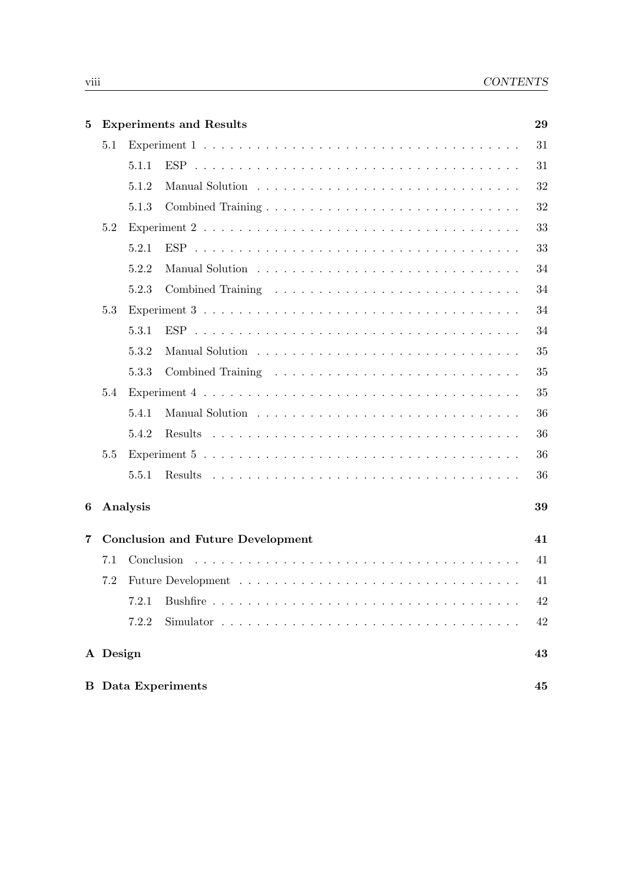| 5              |          |          | <b>Experiments and Results</b>                                                                  | 29 |
|----------------|----------|----------|-------------------------------------------------------------------------------------------------|----|
|                | 5.1      |          |                                                                                                 | 31 |
|                |          | 5.1.1    |                                                                                                 | 31 |
|                |          | 5.1.2    |                                                                                                 | 32 |
|                |          | 5.1.3    |                                                                                                 | 32 |
|                | 5.2      |          |                                                                                                 | 33 |
|                |          | 5.2.1    |                                                                                                 | 33 |
|                |          | 5.2.2    |                                                                                                 | 34 |
|                |          | 5.2.3    |                                                                                                 | 34 |
|                | 5.3      |          |                                                                                                 | 34 |
|                |          | 5.3.1    |                                                                                                 | 34 |
|                |          | 5.3.2    |                                                                                                 | 35 |
|                |          | 5.3.3    |                                                                                                 | 35 |
|                | 5.4      |          |                                                                                                 | 35 |
|                |          | 5.4.1    |                                                                                                 | 36 |
|                |          | 5.4.2    |                                                                                                 | 36 |
|                | 5.5      |          |                                                                                                 | 36 |
|                |          | 5.5.1    |                                                                                                 | 36 |
| 6              |          | Analysis |                                                                                                 | 39 |
| $\overline{7}$ |          |          | <b>Conclusion and Future Development</b>                                                        | 41 |
|                | 7.1      |          |                                                                                                 | 41 |
|                | 7.2      |          |                                                                                                 | 41 |
|                |          | 7.2.1    |                                                                                                 | 42 |
|                |          | 7.2.2    | Simulator $\ldots \ldots \ldots \ldots \ldots \ldots \ldots \ldots \ldots \ldots \ldots \ldots$ | 42 |
|                | A Design |          |                                                                                                 | 43 |
|                |          |          | <b>B</b> Data Experiments                                                                       | 45 |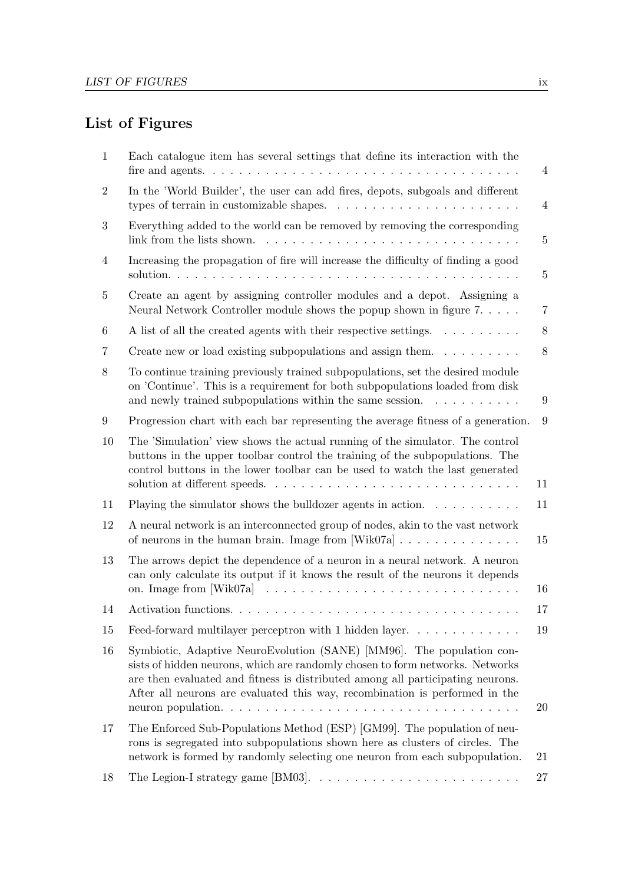## List of Figures

| 1              | Each catalogue item has several settings that define its interaction with the                                                                                                                                                                                                                                           | 4              |
|----------------|-------------------------------------------------------------------------------------------------------------------------------------------------------------------------------------------------------------------------------------------------------------------------------------------------------------------------|----------------|
| $\overline{2}$ | In the 'World Builder', the user can add fires, depots, subgoals and different<br>types of terrain in customizable shapes. $\ldots \ldots \ldots \ldots \ldots \ldots \ldots$                                                                                                                                           | 4              |
| 3              | Everything added to the world can be removed by removing the corresponding                                                                                                                                                                                                                                              | $\overline{5}$ |
| $\overline{4}$ | Increasing the propagation of fire will increase the difficulty of finding a good                                                                                                                                                                                                                                       | $\overline{5}$ |
| 5              | Create an agent by assigning controller modules and a depot. Assigning a<br>Neural Network Controller module shows the popup shown in figure $7. \ldots$ .                                                                                                                                                              | 7              |
| 6              | A list of all the created agents with their respective settings.                                                                                                                                                                                                                                                        | $8\,$          |
| 7              | Create new or load existing subpopulations and assign them. $\dots \dots \dots$                                                                                                                                                                                                                                         | 8              |
| 8              | To continue training previously trained subpopulations, set the desired module<br>on 'Continue'. This is a requirement for both subpopulations loaded from disk<br>and newly trained subpopulations within the same session. $\dots \dots \dots$                                                                        | 9              |
| 9              | Progression chart with each bar representing the average fitness of a generation.                                                                                                                                                                                                                                       | 9              |
| 10             | The 'Simulation' view shows the actual running of the simulator. The control<br>buttons in the upper toolbar control the training of the subpopulations. The<br>control buttons in the lower toolbar can be used to watch the last generated                                                                            | 11             |
| 11             | Playing the simulator shows the bulldozer agents in action. $\dots \dots \dots$                                                                                                                                                                                                                                         | 11             |
| 12             | A neural network is an interconnected group of nodes, akin to the vast network<br>of neurons in the human brain. Image from $[Wik07a] \ldots \ldots \ldots \ldots$                                                                                                                                                      | 15             |
| 13             | The arrows depict the dependence of a neuron in a neural network. A neuron<br>can only calculate its output if it knows the result of the neurons it depends                                                                                                                                                            |                |
|                |                                                                                                                                                                                                                                                                                                                         | 16             |
| 14             |                                                                                                                                                                                                                                                                                                                         | 17             |
| 15             | Feed-forward multilayer perceptron with 1 hidden layer                                                                                                                                                                                                                                                                  | 19             |
| 16             | Symbiotic, Adaptive NeuroEvolution (SANE) [MM96]. The population con-<br>sists of hidden neurons, which are randomly chosen to form networks. Networks<br>are then evaluated and fitness is distributed among all participating neurons.<br>After all neurons are evaluated this way, recombination is performed in the | 20             |
| 17             | The Enforced Sub-Populations Method (ESP) [GM99]. The population of neu-<br>rons is segregated into subpopulations shown here as clusters of circles. The<br>network is formed by randomly selecting one neuron from each subpopulation.                                                                                | 21             |
| 18             | The Legion-I strategy game [BM03]. $\dots \dots \dots \dots \dots \dots \dots \dots \dots$                                                                                                                                                                                                                              | 27             |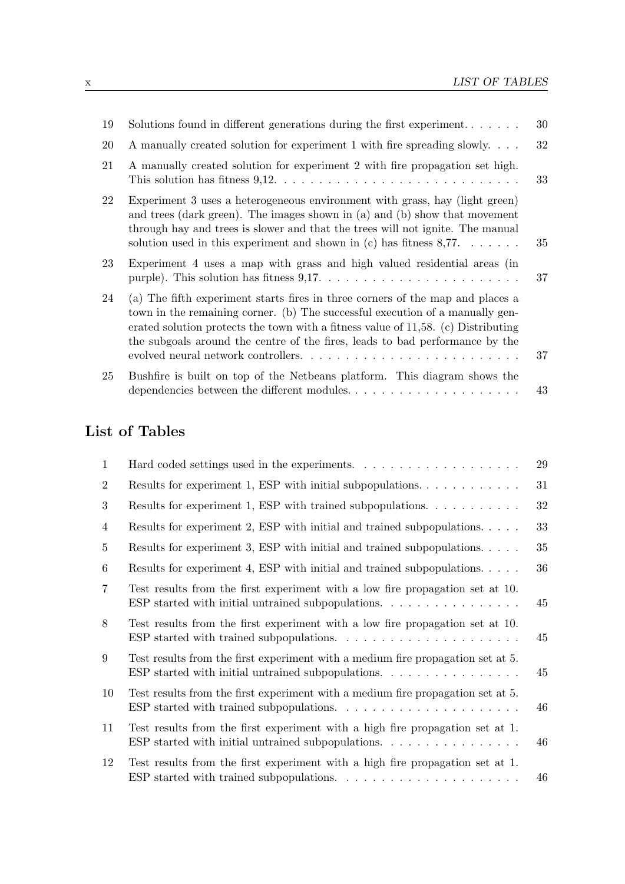| 19 | Solutions found in different generations during the first experiment                                                                                                                                                                                                                                                                 | 30 |
|----|--------------------------------------------------------------------------------------------------------------------------------------------------------------------------------------------------------------------------------------------------------------------------------------------------------------------------------------|----|
| 20 | A manually created solution for experiment 1 with fire spreading slowly                                                                                                                                                                                                                                                              | 32 |
| 21 | A manually created solution for experiment 2 with fire propagation set high.                                                                                                                                                                                                                                                         | 33 |
| 22 | Experiment 3 uses a heterogeneous environment with grass, hay (light green)<br>and trees (dark green). The images shown in (a) and (b) show that movement<br>through hay and trees is slower and that the trees will not ignite. The manual<br>solution used in this experiment and shown in (c) has fitness $8,77$                  | 35 |
| 23 | Experiment 4 uses a map with grass and high valued residential areas (in<br>purple). This solution has fitness $9,17. \ldots \ldots \ldots \ldots \ldots \ldots \ldots \ldots$                                                                                                                                                       | 37 |
| 24 | (a) The fifth experiment starts fires in three corners of the map and places a<br>town in the remaining corner. (b) The successful execution of a manually gen-<br>erated solution protects the town with a fitness value of 11,58. (c) Distributing<br>the subgoals around the centre of the fires, leads to bad performance by the | 37 |
| 25 | Bushfire is built on top of the Netbeans platform. This diagram shows the<br>dependencies between the different modules                                                                                                                                                                                                              | 43 |

## List of Tables

| $\mathbf{1}$   | Hard coded settings used in the experiments. $\dots \dots \dots \dots \dots \dots$                                                                                       | 29 |
|----------------|--------------------------------------------------------------------------------------------------------------------------------------------------------------------------|----|
| $\overline{2}$ | Results for experiment 1, ESP with initial subpopulations. $\dots \dots \dots \dots$                                                                                     | 31 |
| 3              | Results for experiment 1, ESP with trained subpopulations. $\dots \dots \dots$                                                                                           | 32 |
| 4              | Results for experiment 2, ESP with initial and trained subpopulations                                                                                                    | 33 |
| 5              | Results for experiment 3, ESP with initial and trained subpopulations                                                                                                    | 35 |
| 6              | Results for experiment 4, ESP with initial and trained subpopulations. $\ldots$ .                                                                                        | 36 |
| $\overline{7}$ | Test results from the first experiment with a low fire propagation set at 10.<br>ESP started with initial untrained subpopulations. $\ldots$ , , ,                       | 45 |
| 8              | Test results from the first experiment with a low fire propagation set at 10.<br>ESP started with trained subpopulations. $\ldots \ldots \ldots \ldots \ldots \ldots$    | 45 |
| 9              | Test results from the first experiment with a medium fire propagation set at 5.<br>ESP started with initial untrained subpopulations. $\ldots$                           | 45 |
| 10             | Test results from the first experiment with a medium fire propagation set at 5.                                                                                          | 46 |
| 11             | Test results from the first experiment with a high fire propagation set at 1.<br>ESP started with initial untrained subpopulations. $\ldots \ldots \ldots \ldots \ldots$ | 46 |
| 12             | Test results from the first experiment with a high fire propagation set at 1.                                                                                            | 46 |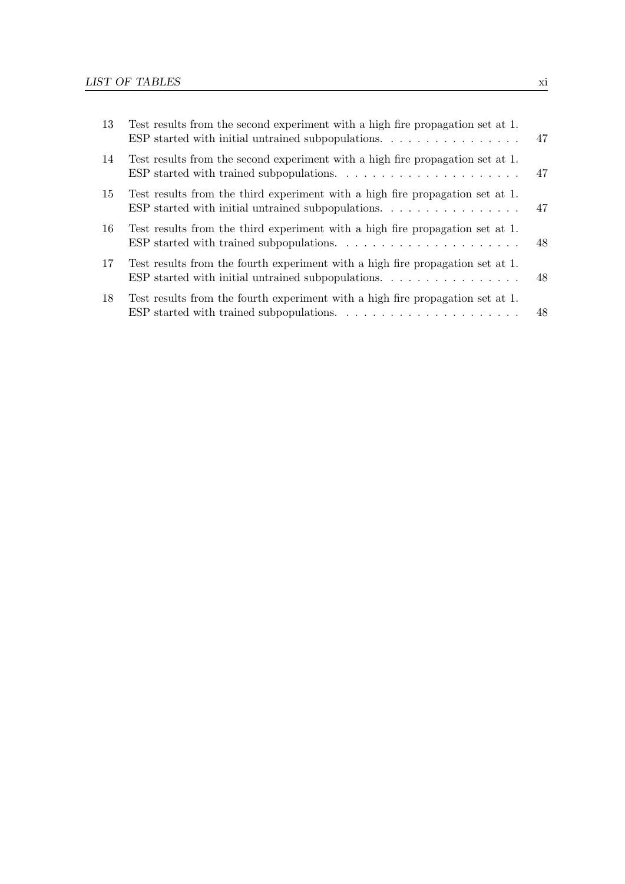| 13 | Test results from the second experiment with a high fire propagation set at 1.                                                                                                | 47 |
|----|-------------------------------------------------------------------------------------------------------------------------------------------------------------------------------|----|
| 14 | Test results from the second experiment with a high fire propagation set at 1.                                                                                                | 47 |
| 15 | Test results from the third experiment with a high fire propagation set at 1.<br>ESP started with initial untrained subpopulations. $\ldots$ , , ,                            | 47 |
| 16 | Test results from the third experiment with a high fire propagation set at 1.                                                                                                 | 48 |
| 17 | Test results from the fourth experiment with a high fire propagation set at 1.                                                                                                | 48 |
| 18 | Test results from the fourth experiment with a high fire propagation set at 1.<br>ESP started with trained subpopulations. $\ldots \ldots \ldots \ldots \ldots \ldots \ldots$ | 48 |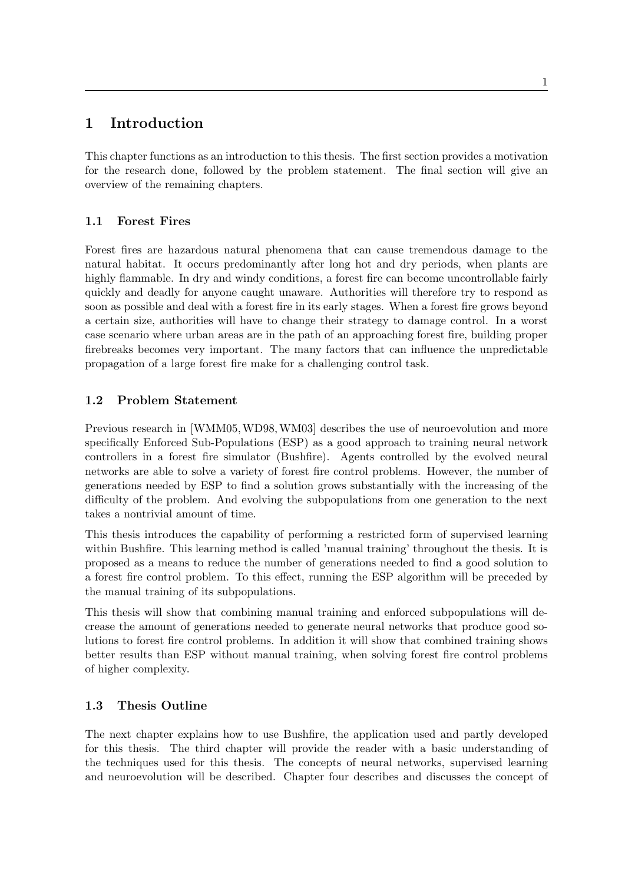## 1 Introduction

This chapter functions as an introduction to this thesis. The first section provides a motivation for the research done, followed by the problem statement. The final section will give an overview of the remaining chapters.

## 1.1 Forest Fires

Forest fires are hazardous natural phenomena that can cause tremendous damage to the natural habitat. It occurs predominantly after long hot and dry periods, when plants are highly flammable. In dry and windy conditions, a forest fire can become uncontrollable fairly quickly and deadly for anyone caught unaware. Authorities will therefore try to respond as soon as possible and deal with a forest fire in its early stages. When a forest fire grows beyond a certain size, authorities will have to change their strategy to damage control. In a worst case scenario where urban areas are in the path of an approaching forest fire, building proper firebreaks becomes very important. The many factors that can influence the unpredictable propagation of a large forest fire make for a challenging control task.

#### 1.2 Problem Statement

Previous research in [WMM05,WD98,WM03] describes the use of neuroevolution and more specifically Enforced Sub-Populations (ESP) as a good approach to training neural network controllers in a forest fire simulator (Bushfire). Agents controlled by the evolved neural networks are able to solve a variety of forest fire control problems. However, the number of generations needed by ESP to find a solution grows substantially with the increasing of the difficulty of the problem. And evolving the subpopulations from one generation to the next takes a nontrivial amount of time.

This thesis introduces the capability of performing a restricted form of supervised learning within Bushfire. This learning method is called 'manual training' throughout the thesis. It is proposed as a means to reduce the number of generations needed to find a good solution to a forest fire control problem. To this effect, running the ESP algorithm will be preceded by the manual training of its subpopulations.

This thesis will show that combining manual training and enforced subpopulations will decrease the amount of generations needed to generate neural networks that produce good solutions to forest fire control problems. In addition it will show that combined training shows better results than ESP without manual training, when solving forest fire control problems of higher complexity.

#### 1.3 Thesis Outline

The next chapter explains how to use Bushfire, the application used and partly developed for this thesis. The third chapter will provide the reader with a basic understanding of the techniques used for this thesis. The concepts of neural networks, supervised learning and neuroevolution will be described. Chapter four describes and discusses the concept of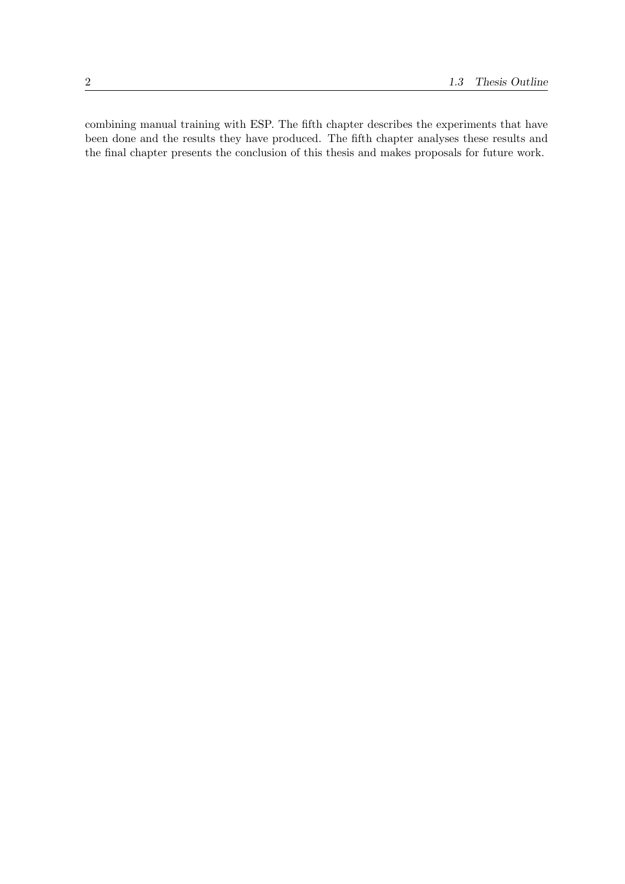combining manual training with ESP. The fifth chapter describes the experiments that have been done and the results they have produced. The fifth chapter analyses these results and the final chapter presents the conclusion of this thesis and makes proposals for future work.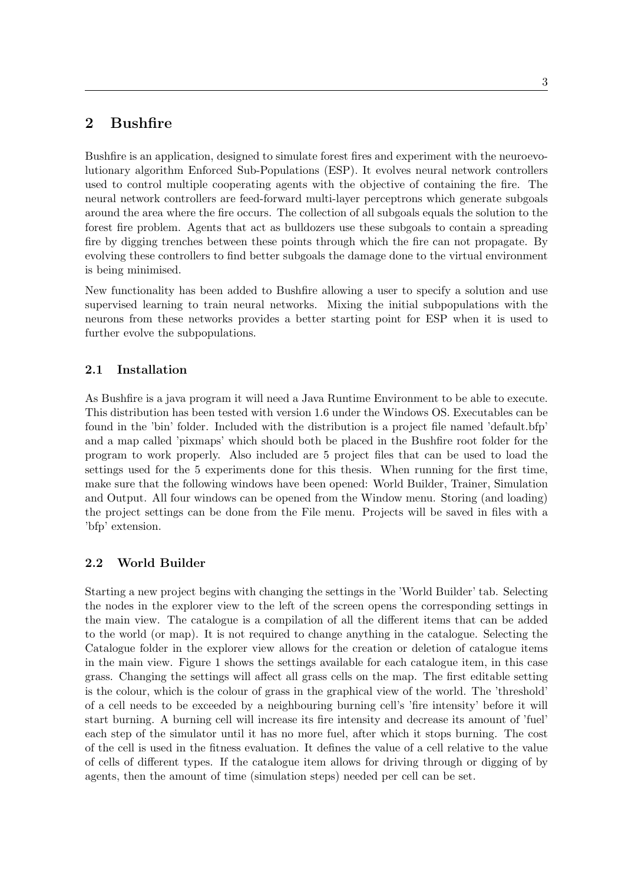## 2 Bushfire

Bushfire is an application, designed to simulate forest fires and experiment with the neuroevolutionary algorithm Enforced Sub-Populations (ESP). It evolves neural network controllers used to control multiple cooperating agents with the objective of containing the fire. The neural network controllers are feed-forward multi-layer perceptrons which generate subgoals around the area where the fire occurs. The collection of all subgoals equals the solution to the forest fire problem. Agents that act as bulldozers use these subgoals to contain a spreading fire by digging trenches between these points through which the fire can not propagate. By evolving these controllers to find better subgoals the damage done to the virtual environment is being minimised.

New functionality has been added to Bushfire allowing a user to specify a solution and use supervised learning to train neural networks. Mixing the initial subpopulations with the neurons from these networks provides a better starting point for ESP when it is used to further evolve the subpopulations.

## 2.1 Installation

As Bushfire is a java program it will need a Java Runtime Environment to be able to execute. This distribution has been tested with version 1.6 under the Windows OS. Executables can be found in the 'bin' folder. Included with the distribution is a project file named 'default.bfp' and a map called 'pixmaps' which should both be placed in the Bushfire root folder for the program to work properly. Also included are 5 project files that can be used to load the settings used for the 5 experiments done for this thesis. When running for the first time, make sure that the following windows have been opened: World Builder, Trainer, Simulation and Output. All four windows can be opened from the Window menu. Storing (and loading) the project settings can be done from the File menu. Projects will be saved in files with a 'bfp' extension.

## 2.2 World Builder

Starting a new project begins with changing the settings in the 'World Builder' tab. Selecting the nodes in the explorer view to the left of the screen opens the corresponding settings in the main view. The catalogue is a compilation of all the different items that can be added to the world (or map). It is not required to change anything in the catalogue. Selecting the Catalogue folder in the explorer view allows for the creation or deletion of catalogue items in the main view. Figure 1 shows the settings available for each catalogue item, in this case grass. Changing the settings will affect all grass cells on the map. The first editable setting is the colour, which is the colour of grass in the graphical view of the world. The 'threshold' of a cell needs to be exceeded by a neighbouring burning cell's 'fire intensity' before it will start burning. A burning cell will increase its fire intensity and decrease its amount of 'fuel' each step of the simulator until it has no more fuel, after which it stops burning. The cost of the cell is used in the fitness evaluation. It defines the value of a cell relative to the value of cells of different types. If the catalogue item allows for driving through or digging of by agents, then the amount of time (simulation steps) needed per cell can be set.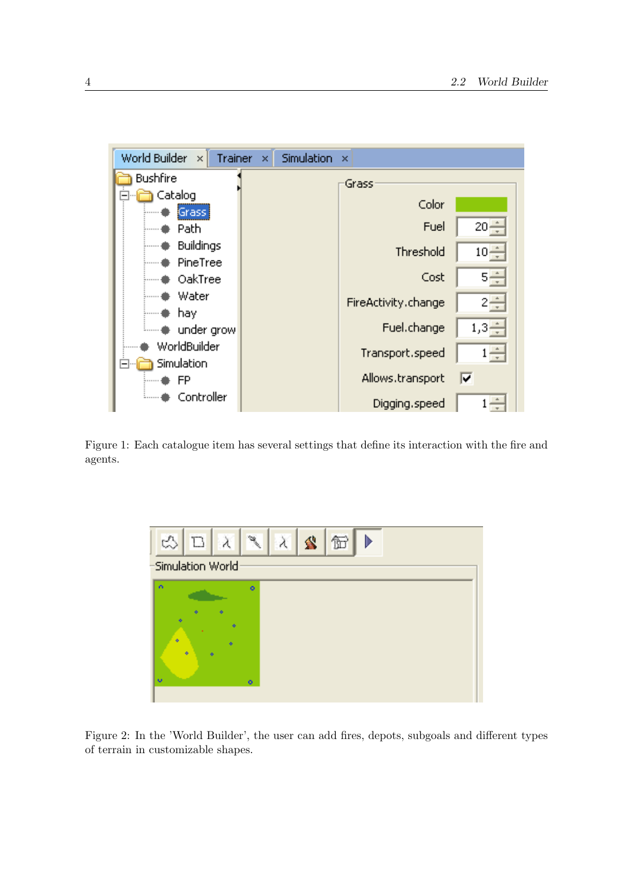

Figure 1: Each catalogue item has several settings that define its interaction with the fire and agents.



Figure 2: In the 'World Builder', the user can add fires, depots, subgoals and different types of terrain in customizable shapes.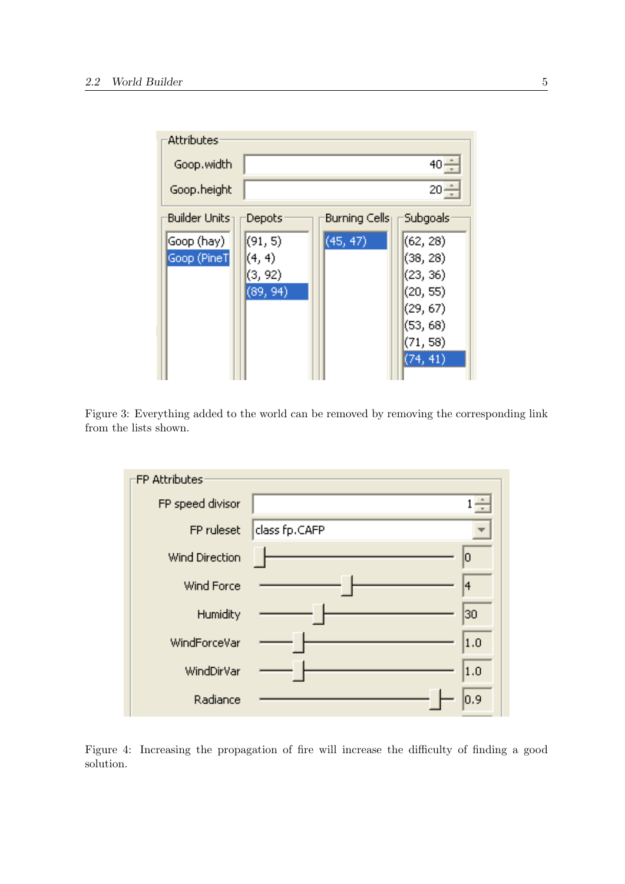| Attributes                                      |          |
|-------------------------------------------------|----------|
| Goop.width                                      | $40 -$   |
| Goop.height                                     | $20 -$   |
| <b>Builder Units</b><br>Burning Cells<br>Depots | Subgoals |
| (91, 5)<br>(45, 47)<br>(Goop (hay)              | (62, 28) |
| (4, 4)<br>Goop (PineT)                          | (38, 28) |
| (3, 92)                                         | (23, 36) |
| (89, 94)                                        | (20, 55) |
|                                                 | (29, 67) |
|                                                 | (53, 68) |
|                                                 | (71, 58) |
|                                                 | (74, 41) |

Figure 3: Everything added to the world can be removed by removing the corresponding link from the lists shown.



Figure 4: Increasing the propagation of fire will increase the difficulty of finding a good solution.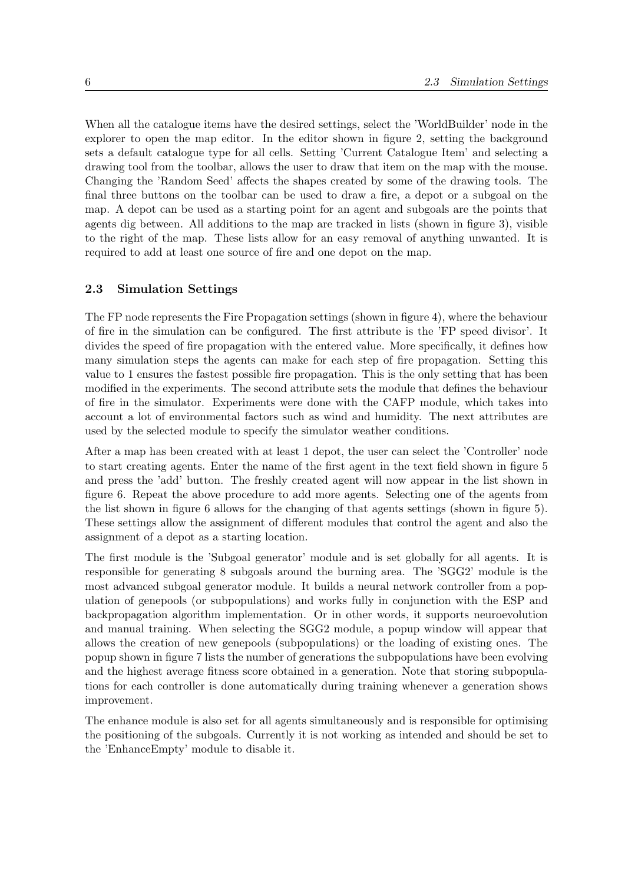When all the catalogue items have the desired settings, select the 'WorldBuilder' node in the explorer to open the map editor. In the editor shown in figure 2, setting the background sets a default catalogue type for all cells. Setting 'Current Catalogue Item' and selecting a drawing tool from the toolbar, allows the user to draw that item on the map with the mouse. Changing the 'Random Seed' affects the shapes created by some of the drawing tools. The final three buttons on the toolbar can be used to draw a fire, a depot or a subgoal on the map. A depot can be used as a starting point for an agent and subgoals are the points that agents dig between. All additions to the map are tracked in lists (shown in figure 3), visible to the right of the map. These lists allow for an easy removal of anything unwanted. It is required to add at least one source of fire and one depot on the map.

#### 2.3 Simulation Settings

The FP node represents the Fire Propagation settings (shown in figure 4), where the behaviour of fire in the simulation can be configured. The first attribute is the 'FP speed divisor'. It divides the speed of fire propagation with the entered value. More specifically, it defines how many simulation steps the agents can make for each step of fire propagation. Setting this value to 1 ensures the fastest possible fire propagation. This is the only setting that has been modified in the experiments. The second attribute sets the module that defines the behaviour of fire in the simulator. Experiments were done with the CAFP module, which takes into account a lot of environmental factors such as wind and humidity. The next attributes are used by the selected module to specify the simulator weather conditions.

After a map has been created with at least 1 depot, the user can select the 'Controller' node to start creating agents. Enter the name of the first agent in the text field shown in figure 5 and press the 'add' button. The freshly created agent will now appear in the list shown in figure 6. Repeat the above procedure to add more agents. Selecting one of the agents from the list shown in figure 6 allows for the changing of that agents settings (shown in figure 5). These settings allow the assignment of different modules that control the agent and also the assignment of a depot as a starting location.

The first module is the 'Subgoal generator' module and is set globally for all agents. It is responsible for generating 8 subgoals around the burning area. The 'SGG2' module is the most advanced subgoal generator module. It builds a neural network controller from a population of genepools (or subpopulations) and works fully in conjunction with the ESP and backpropagation algorithm implementation. Or in other words, it supports neuroevolution and manual training. When selecting the SGG2 module, a popup window will appear that allows the creation of new genepools (subpopulations) or the loading of existing ones. The popup shown in figure 7 lists the number of generations the subpopulations have been evolving and the highest average fitness score obtained in a generation. Note that storing subpopulations for each controller is done automatically during training whenever a generation shows improvement.

The enhance module is also set for all agents simultaneously and is responsible for optimising the positioning of the subgoals. Currently it is not working as intended and should be set to the 'EnhanceEmpty' module to disable it.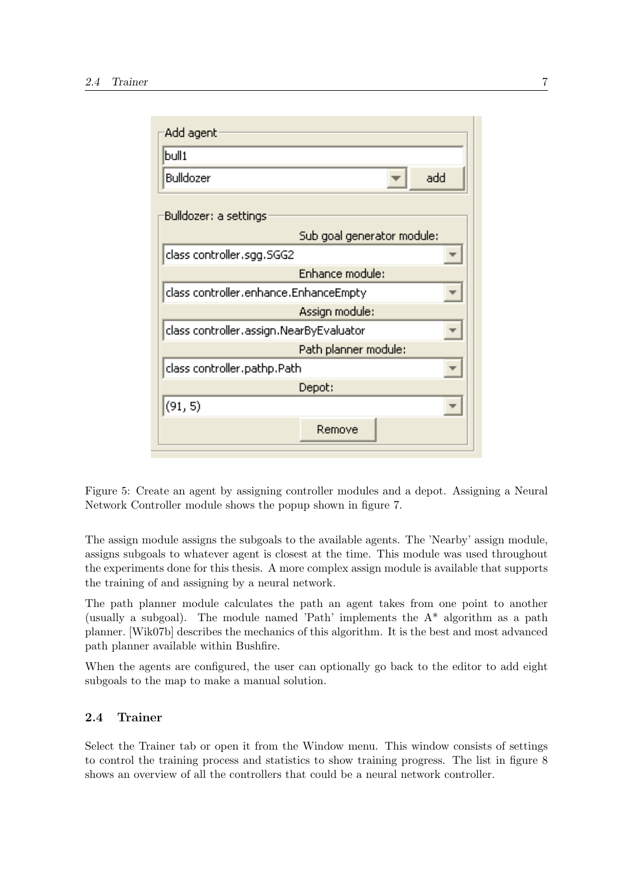

Figure 5: Create an agent by assigning controller modules and a depot. Assigning a Neural Network Controller module shows the popup shown in figure 7.

The assign module assigns the subgoals to the available agents. The 'Nearby' assign module, assigns subgoals to whatever agent is closest at the time. This module was used throughout the experiments done for this thesis. A more complex assign module is available that supports the training of and assigning by a neural network.

The path planner module calculates the path an agent takes from one point to another (usually a subgoal). The module named 'Path' implements the  $A^*$  algorithm as a path planner. [Wik07b] describes the mechanics of this algorithm. It is the best and most advanced path planner available within Bushfire.

When the agents are configured, the user can optionally go back to the editor to add eight subgoals to the map to make a manual solution.

#### 2.4 Trainer

Select the Trainer tab or open it from the Window menu. This window consists of settings to control the training process and statistics to show training progress. The list in figure 8 shows an overview of all the controllers that could be a neural network controller.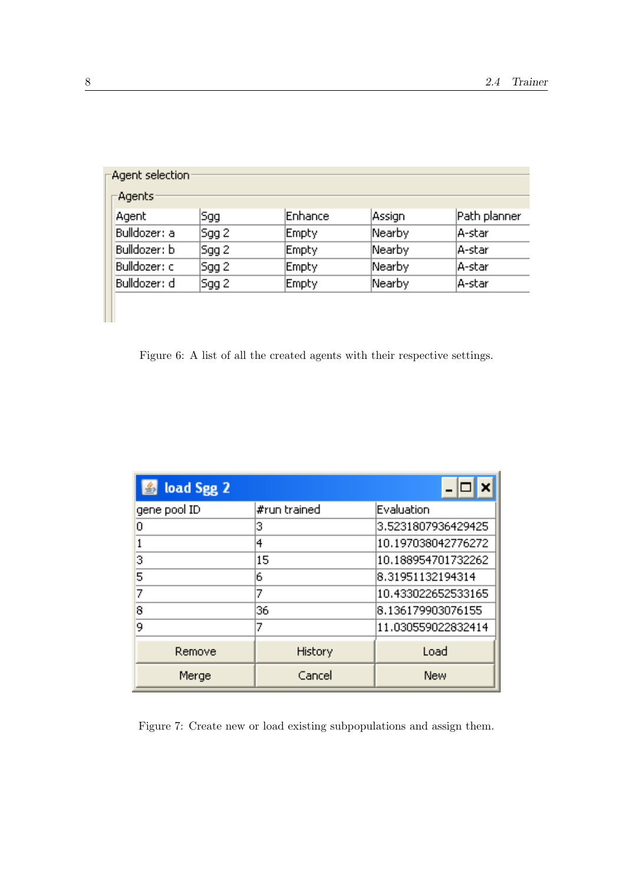| Agent selection: |       |                |        |              |  |  |
|------------------|-------|----------------|--------|--------------|--|--|
| -Agents:         |       |                |        |              |  |  |
| Agent            | Sgg   | <b>Enhance</b> | Assign | Path planner |  |  |
| Bulldozer: a     | Sgg 2 | Empty          | Nearby | A-star       |  |  |
| Bulldozer: b     | Sgg 2 | <b>Empty</b>   | Nearby | A-star       |  |  |
| Bulldozer: c     | Sgg 2 | Empty          | Nearby | A-star       |  |  |
| Bulldozer: d     | Sgg 2 | <b>Empty</b>   | Nearby | A-star       |  |  |
|                  |       |                |        |              |  |  |

Figure 6: A list of all the created agents with their respective settings.

| load Sgg 2   |              |                    |  |  |  |
|--------------|--------------|--------------------|--|--|--|
| gene pool ID | #run trained | Evaluation         |  |  |  |
| n            | з            | 3,5231807936429425 |  |  |  |
|              | 4            | 10.197038042776272 |  |  |  |
| 3            | 15           | 10.188954701732262 |  |  |  |
| 5            | 6            | 8.31951132194314   |  |  |  |
| 7            | 7            | 10.433022652533165 |  |  |  |
| 8            | 36           | 8.136179903076155  |  |  |  |
| 9            | 7            | 11.030559022832414 |  |  |  |
| Remove       | History      | Load               |  |  |  |
| Merge        | Cancel       | New                |  |  |  |

Figure 7: Create new or load existing subpopulations and assign them.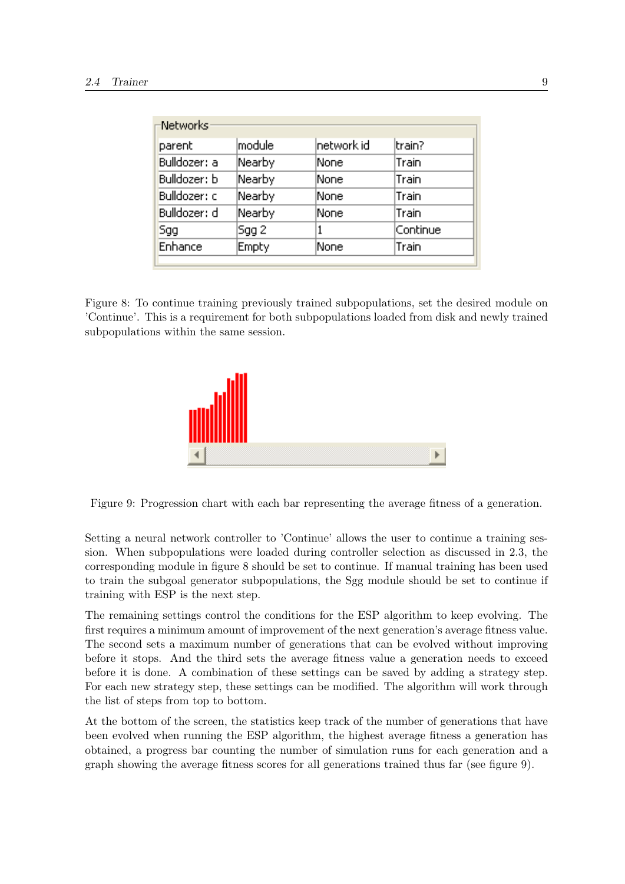| Networks <sup>.</sup> |              |            |          |  |  |
|-----------------------|--------------|------------|----------|--|--|
| parent                | module       | hetwork id | ltrain?  |  |  |
| Bulldozer: a          | Nearby       | None       | Train    |  |  |
| Bulldozer: b          | Nearby       | None       | Train    |  |  |
| Bulldozer: c          | Nearby       | None       | Train    |  |  |
| Bulldozer: d          | Nearby       | None       | Train    |  |  |
| Sgg                   | Sgg 2        | 1          | Continue |  |  |
| Enhance               | <b>Empty</b> | None       | Train    |  |  |
|                       |              |            |          |  |  |

Figure 8: To continue training previously trained subpopulations, set the desired module on 'Continue'. This is a requirement for both subpopulations loaded from disk and newly trained subpopulations within the same session.



Figure 9: Progression chart with each bar representing the average fitness of a generation.

Setting a neural network controller to 'Continue' allows the user to continue a training session. When subpopulations were loaded during controller selection as discussed in 2.3, the corresponding module in figure 8 should be set to continue. If manual training has been used to train the subgoal generator subpopulations, the Sgg module should be set to continue if training with ESP is the next step.

The remaining settings control the conditions for the ESP algorithm to keep evolving. The first requires a minimum amount of improvement of the next generation's average fitness value. The second sets a maximum number of generations that can be evolved without improving before it stops. And the third sets the average fitness value a generation needs to exceed before it is done. A combination of these settings can be saved by adding a strategy step. For each new strategy step, these settings can be modified. The algorithm will work through the list of steps from top to bottom.

At the bottom of the screen, the statistics keep track of the number of generations that have been evolved when running the ESP algorithm, the highest average fitness a generation has obtained, a progress bar counting the number of simulation runs for each generation and a graph showing the average fitness scores for all generations trained thus far (see figure 9).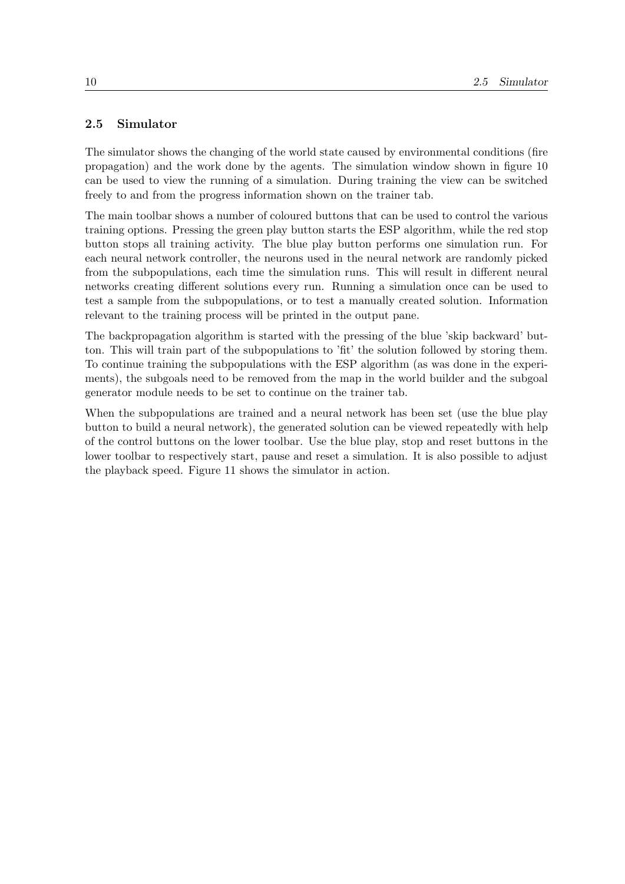### 2.5 Simulator

The simulator shows the changing of the world state caused by environmental conditions (fire propagation) and the work done by the agents. The simulation window shown in figure 10 can be used to view the running of a simulation. During training the view can be switched freely to and from the progress information shown on the trainer tab.

The main toolbar shows a number of coloured buttons that can be used to control the various training options. Pressing the green play button starts the ESP algorithm, while the red stop button stops all training activity. The blue play button performs one simulation run. For each neural network controller, the neurons used in the neural network are randomly picked from the subpopulations, each time the simulation runs. This will result in different neural networks creating different solutions every run. Running a simulation once can be used to test a sample from the subpopulations, or to test a manually created solution. Information relevant to the training process will be printed in the output pane.

The backpropagation algorithm is started with the pressing of the blue 'skip backward' button. This will train part of the subpopulations to 'fit' the solution followed by storing them. To continue training the subpopulations with the ESP algorithm (as was done in the experiments), the subgoals need to be removed from the map in the world builder and the subgoal generator module needs to be set to continue on the trainer tab.

When the subpopulations are trained and a neural network has been set (use the blue play button to build a neural network), the generated solution can be viewed repeatedly with help of the control buttons on the lower toolbar. Use the blue play, stop and reset buttons in the lower toolbar to respectively start, pause and reset a simulation. It is also possible to adjust the playback speed. Figure 11 shows the simulator in action.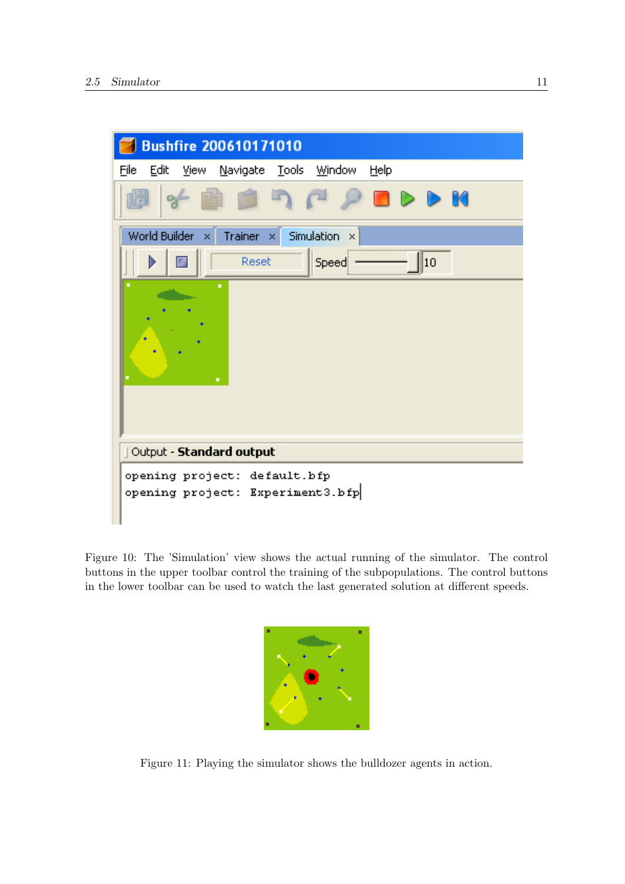

Figure 10: The 'Simulation' view shows the actual running of the simulator. The control buttons in the upper toolbar control the training of the subpopulations. The control buttons in the lower toolbar can be used to watch the last generated solution at different speeds.



Figure 11: Playing the simulator shows the bulldozer agents in action.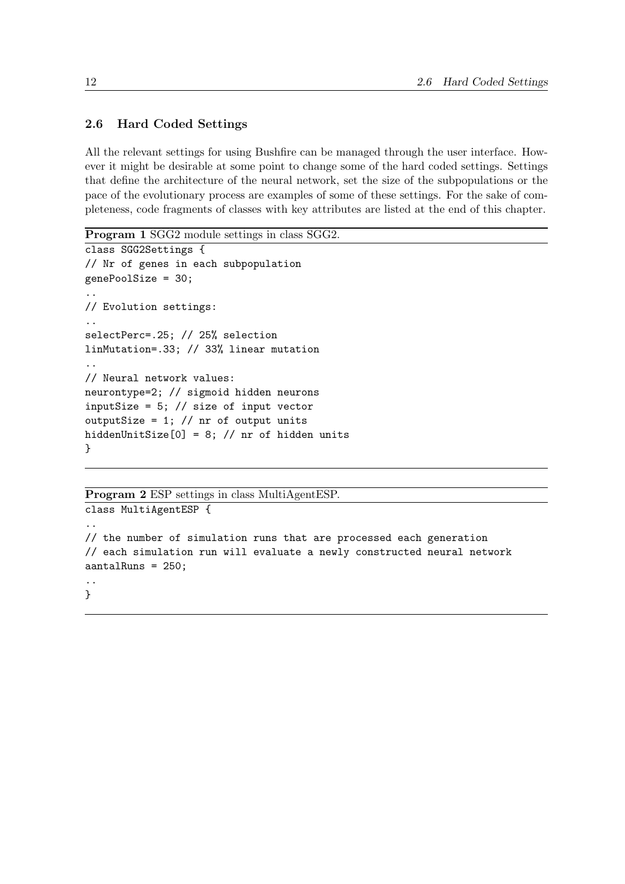## 2.6 Hard Coded Settings

All the relevant settings for using Bushfire can be managed through the user interface. However it might be desirable at some point to change some of the hard coded settings. Settings that define the architecture of the neural network, set the size of the subpopulations or the pace of the evolutionary process are examples of some of these settings. For the sake of completeness, code fragments of classes with key attributes are listed at the end of this chapter.

Program 1 SGG2 module settings in class SGG2.

```
class SGG2Settings {
// Nr of genes in each subpopulation
genePoolSize = 30;
..
// Evolution settings:
..
selectPerc=.25; // 25% selection
linMutation=.33; // 33% linear mutation
..
// Neural network values:
neurontype=2; // sigmoid hidden neurons
inputSize = 5; // size of input vector
outputSize = 1; // nr of output units
hiddenUnitSize[0] = 8; // nr of hidden units
}
```
#### Program 2 ESP settings in class MultiAgentESP.

```
class MultiAgentESP {
..
// the number of simulation runs that are processed each generation
// each simulation run will evaluate a newly constructed neural network
aantalRuns = 250;
..
}
```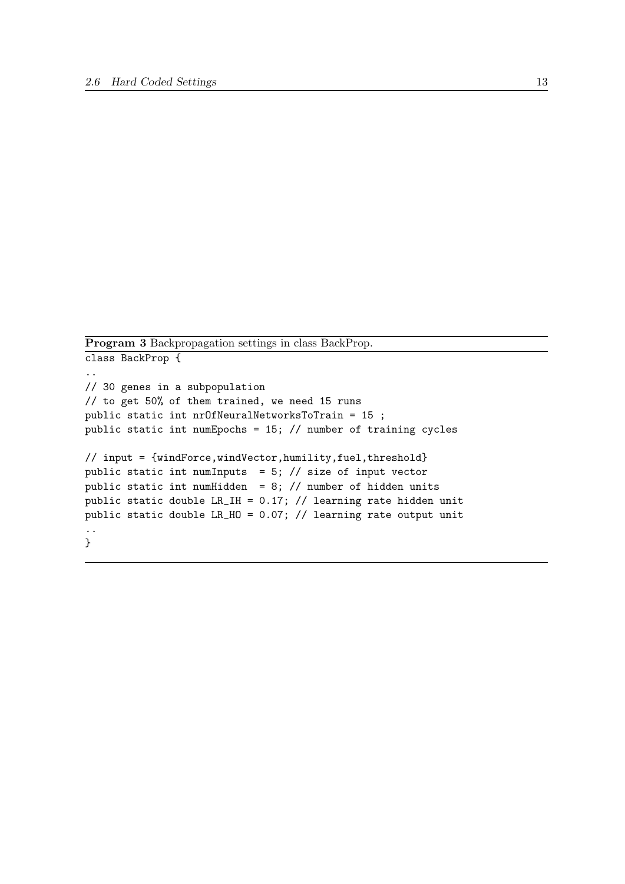Program 3 Backpropagation settings in class BackProp.

```
class BackProp {
..
// 30 genes in a subpopulation
// to get 50% of them trained, we need 15 runs
public static int nrOfNeuralNetworksToTrain = 15 ;
public static int numEpochs = 15; // number of training cycles
// input = {windForce,windVector,humility,fuel,threshold}
public static int numInputs = 5; // size of input vector
public static int numHidden = 8; // number of hidden units
public static double LR_IH = 0.17; // learning rate hidden unit
public static double LR_HO = 0.07; // learning rate output unit
..
}
```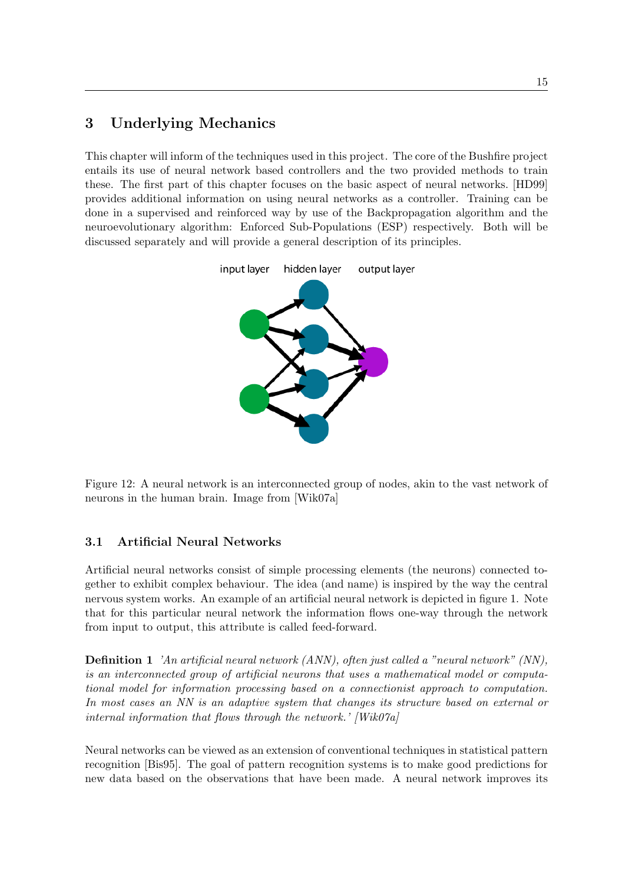## 3 Underlying Mechanics

This chapter will inform of the techniques used in this project. The core of the Bushfire project entails its use of neural network based controllers and the two provided methods to train these. The first part of this chapter focuses on the basic aspect of neural networks. [HD99] provides additional information on using neural networks as a controller. Training can be done in a supervised and reinforced way by use of the Backpropagation algorithm and the neuroevolutionary algorithm: Enforced Sub-Populations (ESP) respectively. Both will be discussed separately and will provide a general description of its principles.



Figure 12: A neural network is an interconnected group of nodes, akin to the vast network of neurons in the human brain. Image from [Wik07a]

## 3.1 Artificial Neural Networks

Artificial neural networks consist of simple processing elements (the neurons) connected together to exhibit complex behaviour. The idea (and name) is inspired by the way the central nervous system works. An example of an artificial neural network is depicted in figure 1. Note that for this particular neural network the information flows one-way through the network from input to output, this attribute is called feed-forward.

Definition 1 'An artificial neural network (ANN), often just called a "neural network" (NN), is an interconnected group of artificial neurons that uses a mathematical model or computational model for information processing based on a connectionist approach to computation. In most cases an NN is an adaptive system that changes its structure based on external or internal information that flows through the network.' [Wik07a]

Neural networks can be viewed as an extension of conventional techniques in statistical pattern recognition [Bis95]. The goal of pattern recognition systems is to make good predictions for new data based on the observations that have been made. A neural network improves its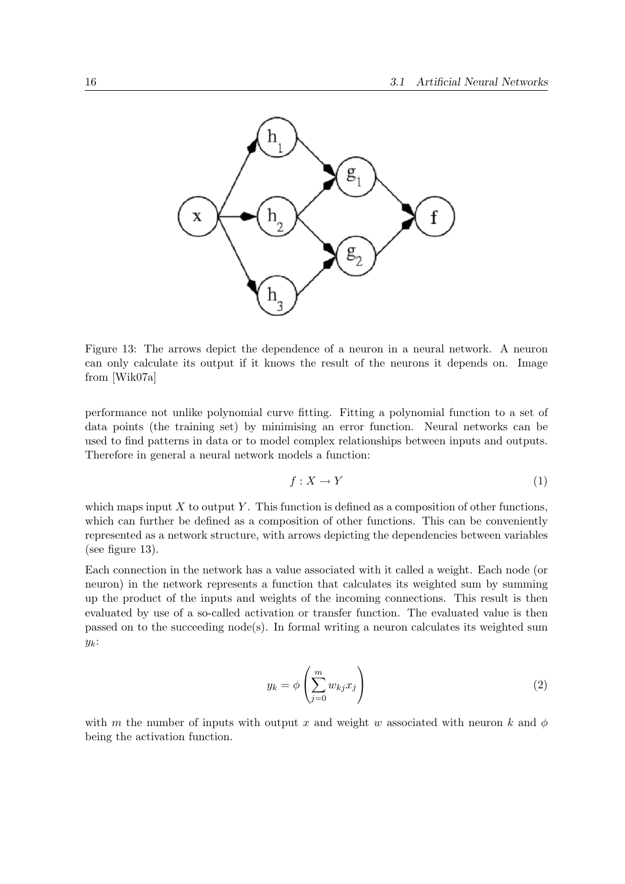

Figure 13: The arrows depict the dependence of a neuron in a neural network. A neuron can only calculate its output if it knows the result of the neurons it depends on. Image from [Wik07a]

performance not unlike polynomial curve fitting. Fitting a polynomial function to a set of data points (the training set) by minimising an error function. Neural networks can be used to find patterns in data or to model complex relationships between inputs and outputs. Therefore in general a neural network models a function:

$$
f: X \to Y \tag{1}
$$

which maps input  $X$  to output  $Y$ . This function is defined as a composition of other functions, which can further be defined as a composition of other functions. This can be conveniently represented as a network structure, with arrows depicting the dependencies between variables (see figure 13).

Each connection in the network has a value associated with it called a weight. Each node (or neuron) in the network represents a function that calculates its weighted sum by summing up the product of the inputs and weights of the incoming connections. This result is then evaluated by use of a so-called activation or transfer function. The evaluated value is then passed on to the succeeding node(s). In formal writing a neuron calculates its weighted sum  $y_k$ :

$$
y_k = \phi \left( \sum_{j=0}^m w_{kj} x_j \right) \tag{2}
$$

with m the number of inputs with output x and weight w associated with neuron k and  $\phi$ being the activation function.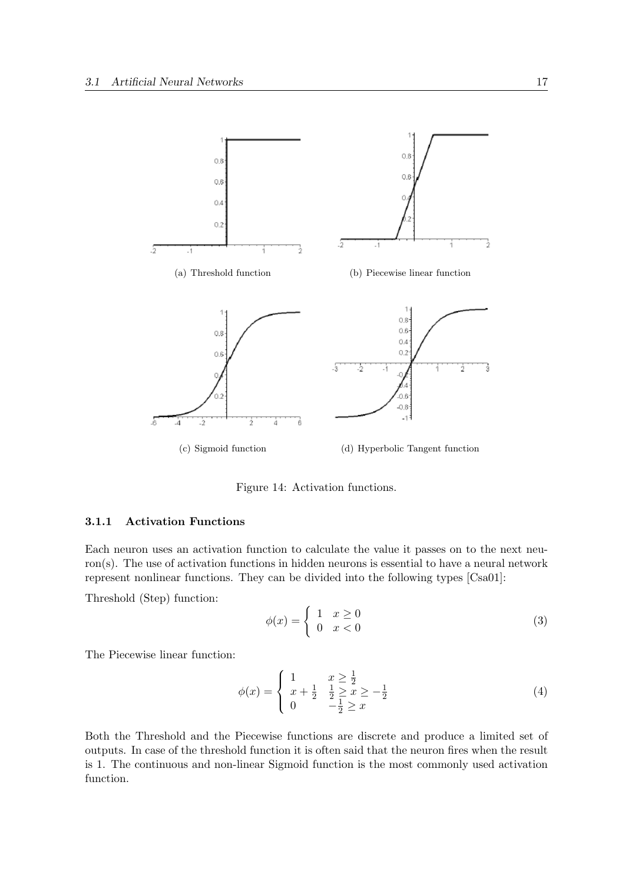

Figure 14: Activation functions.

#### 3.1.1 Activation Functions

Each neuron uses an activation function to calculate the value it passes on to the next neuron(s). The use of activation functions in hidden neurons is essential to have a neural network represent nonlinear functions. They can be divided into the following types [Csa01]:

Threshold (Step) function:

$$
\phi(x) = \begin{cases} 1 & x \ge 0 \\ 0 & x < 0 \end{cases} \tag{3}
$$

The Piecewise linear function:

$$
\phi(x) = \begin{cases} 1 & x \ge \frac{1}{2} \\ x + \frac{1}{2} & \frac{1}{2} \ge x \ge -\frac{1}{2} \\ 0 & -\frac{1}{2} \ge x \end{cases}
$$
(4)

Both the Threshold and the Piecewise functions are discrete and produce a limited set of outputs. In case of the threshold function it is often said that the neuron fires when the result is 1. The continuous and non-linear Sigmoid function is the most commonly used activation function.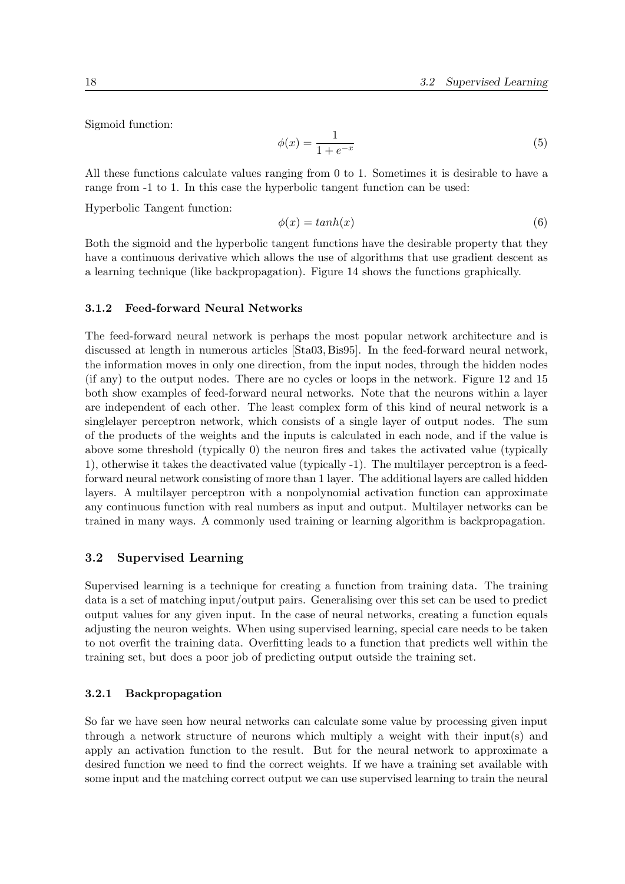Sigmoid function:

$$
\phi(x) = \frac{1}{1 + e^{-x}}\tag{5}
$$

All these functions calculate values ranging from 0 to 1. Sometimes it is desirable to have a range from -1 to 1. In this case the hyperbolic tangent function can be used:

Hyperbolic Tangent function:

$$
\phi(x) = \tanh(x) \tag{6}
$$

Both the sigmoid and the hyperbolic tangent functions have the desirable property that they have a continuous derivative which allows the use of algorithms that use gradient descent as a learning technique (like backpropagation). Figure 14 shows the functions graphically.

#### 3.1.2 Feed-forward Neural Networks

The feed-forward neural network is perhaps the most popular network architecture and is discussed at length in numerous articles [Sta03, Bis95]. In the feed-forward neural network, the information moves in only one direction, from the input nodes, through the hidden nodes (if any) to the output nodes. There are no cycles or loops in the network. Figure 12 and 15 both show examples of feed-forward neural networks. Note that the neurons within a layer are independent of each other. The least complex form of this kind of neural network is a singlelayer perceptron network, which consists of a single layer of output nodes. The sum of the products of the weights and the inputs is calculated in each node, and if the value is above some threshold (typically 0) the neuron fires and takes the activated value (typically 1), otherwise it takes the deactivated value (typically -1). The multilayer perceptron is a feedforward neural network consisting of more than 1 layer. The additional layers are called hidden layers. A multilayer perceptron with a nonpolynomial activation function can approximate any continuous function with real numbers as input and output. Multilayer networks can be trained in many ways. A commonly used training or learning algorithm is backpropagation.

#### 3.2 Supervised Learning

Supervised learning is a technique for creating a function from training data. The training data is a set of matching input/output pairs. Generalising over this set can be used to predict output values for any given input. In the case of neural networks, creating a function equals adjusting the neuron weights. When using supervised learning, special care needs to be taken to not overfit the training data. Overfitting leads to a function that predicts well within the training set, but does a poor job of predicting output outside the training set.

#### 3.2.1 Backpropagation

So far we have seen how neural networks can calculate some value by processing given input through a network structure of neurons which multiply a weight with their input(s) and apply an activation function to the result. But for the neural network to approximate a desired function we need to find the correct weights. If we have a training set available with some input and the matching correct output we can use supervised learning to train the neural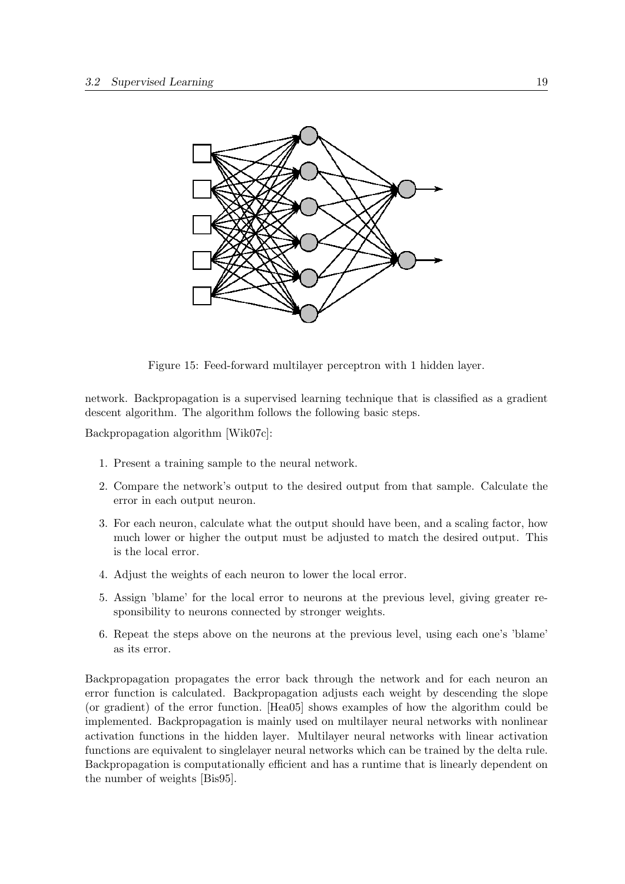

Figure 15: Feed-forward multilayer perceptron with 1 hidden layer.

network. Backpropagation is a supervised learning technique that is classified as a gradient descent algorithm. The algorithm follows the following basic steps.

Backpropagation algorithm [Wik07c]:

- 1. Present a training sample to the neural network.
- 2. Compare the network's output to the desired output from that sample. Calculate the error in each output neuron.
- 3. For each neuron, calculate what the output should have been, and a scaling factor, how much lower or higher the output must be adjusted to match the desired output. This is the local error.
- 4. Adjust the weights of each neuron to lower the local error.
- 5. Assign 'blame' for the local error to neurons at the previous level, giving greater responsibility to neurons connected by stronger weights.
- 6. Repeat the steps above on the neurons at the previous level, using each one's 'blame' as its error.

Backpropagation propagates the error back through the network and for each neuron an error function is calculated. Backpropagation adjusts each weight by descending the slope (or gradient) of the error function. [Hea05] shows examples of how the algorithm could be implemented. Backpropagation is mainly used on multilayer neural networks with nonlinear activation functions in the hidden layer. Multilayer neural networks with linear activation functions are equivalent to singlelayer neural networks which can be trained by the delta rule. Backpropagation is computationally efficient and has a runtime that is linearly dependent on the number of weights [Bis95].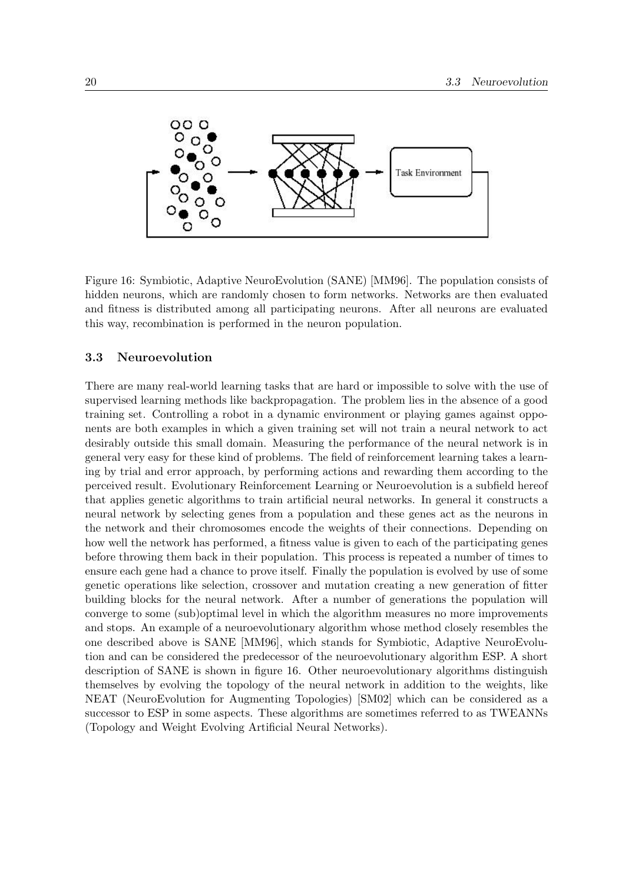

Figure 16: Symbiotic, Adaptive NeuroEvolution (SANE) [MM96]. The population consists of hidden neurons, which are randomly chosen to form networks. Networks are then evaluated and fitness is distributed among all participating neurons. After all neurons are evaluated this way, recombination is performed in the neuron population.

#### 3.3 Neuroevolution

There are many real-world learning tasks that are hard or impossible to solve with the use of supervised learning methods like backpropagation. The problem lies in the absence of a good training set. Controlling a robot in a dynamic environment or playing games against opponents are both examples in which a given training set will not train a neural network to act desirably outside this small domain. Measuring the performance of the neural network is in general very easy for these kind of problems. The field of reinforcement learning takes a learning by trial and error approach, by performing actions and rewarding them according to the perceived result. Evolutionary Reinforcement Learning or Neuroevolution is a subfield hereof that applies genetic algorithms to train artificial neural networks. In general it constructs a neural network by selecting genes from a population and these genes act as the neurons in the network and their chromosomes encode the weights of their connections. Depending on how well the network has performed, a fitness value is given to each of the participating genes before throwing them back in their population. This process is repeated a number of times to ensure each gene had a chance to prove itself. Finally the population is evolved by use of some genetic operations like selection, crossover and mutation creating a new generation of fitter building blocks for the neural network. After a number of generations the population will converge to some (sub)optimal level in which the algorithm measures no more improvements and stops. An example of a neuroevolutionary algorithm whose method closely resembles the one described above is SANE [MM96], which stands for Symbiotic, Adaptive NeuroEvolution and can be considered the predecessor of the neuroevolutionary algorithm ESP. A short description of SANE is shown in figure 16. Other neuroevolutionary algorithms distinguish themselves by evolving the topology of the neural network in addition to the weights, like NEAT (NeuroEvolution for Augmenting Topologies) [SM02] which can be considered as a successor to ESP in some aspects. These algorithms are sometimes referred to as TWEANNs (Topology and Weight Evolving Artificial Neural Networks).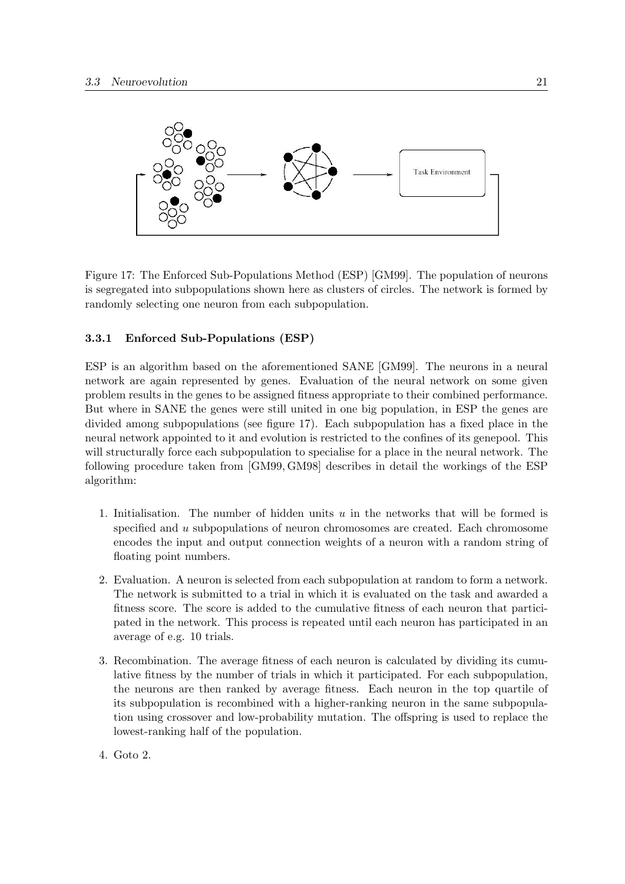

Figure 17: The Enforced Sub-Populations Method (ESP) [GM99]. The population of neurons is segregated into subpopulations shown here as clusters of circles. The network is formed by randomly selecting one neuron from each subpopulation.

#### 3.3.1 Enforced Sub-Populations (ESP)

ESP is an algorithm based on the aforementioned SANE [GM99]. The neurons in a neural network are again represented by genes. Evaluation of the neural network on some given problem results in the genes to be assigned fitness appropriate to their combined performance. But where in SANE the genes were still united in one big population, in ESP the genes are divided among subpopulations (see figure 17). Each subpopulation has a fixed place in the neural network appointed to it and evolution is restricted to the confines of its genepool. This will structurally force each subpopulation to specialise for a place in the neural network. The following procedure taken from [GM99, GM98] describes in detail the workings of the ESP algorithm:

- 1. Initialisation. The number of hidden units  $u$  in the networks that will be formed is specified and u subpopulations of neuron chromosomes are created. Each chromosome encodes the input and output connection weights of a neuron with a random string of floating point numbers.
- 2. Evaluation. A neuron is selected from each subpopulation at random to form a network. The network is submitted to a trial in which it is evaluated on the task and awarded a fitness score. The score is added to the cumulative fitness of each neuron that participated in the network. This process is repeated until each neuron has participated in an average of e.g. 10 trials.
- 3. Recombination. The average fitness of each neuron is calculated by dividing its cumulative fitness by the number of trials in which it participated. For each subpopulation, the neurons are then ranked by average fitness. Each neuron in the top quartile of its subpopulation is recombined with a higher-ranking neuron in the same subpopulation using crossover and low-probability mutation. The offspring is used to replace the lowest-ranking half of the population.
- 4. Goto 2.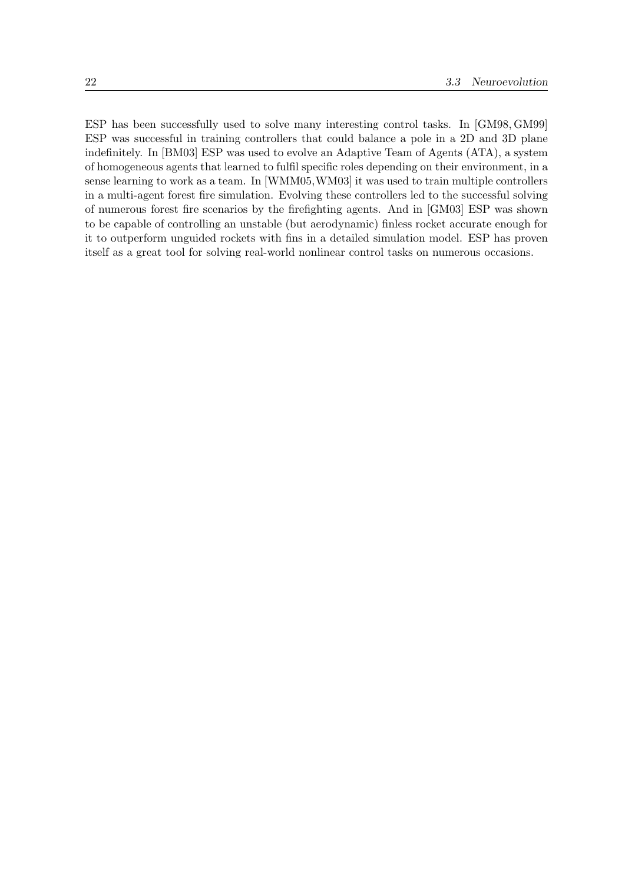ESP has been successfully used to solve many interesting control tasks. In [GM98, GM99] ESP was successful in training controllers that could balance a pole in a 2D and 3D plane indefinitely. In [BM03] ESP was used to evolve an Adaptive Team of Agents (ATA), a system of homogeneous agents that learned to fulfil specific roles depending on their environment, in a sense learning to work as a team. In [WMM05,WM03] it was used to train multiple controllers in a multi-agent forest fire simulation. Evolving these controllers led to the successful solving of numerous forest fire scenarios by the firefighting agents. And in [GM03] ESP was shown to be capable of controlling an unstable (but aerodynamic) finless rocket accurate enough for it to outperform unguided rockets with fins in a detailed simulation model. ESP has proven itself as a great tool for solving real-world nonlinear control tasks on numerous occasions.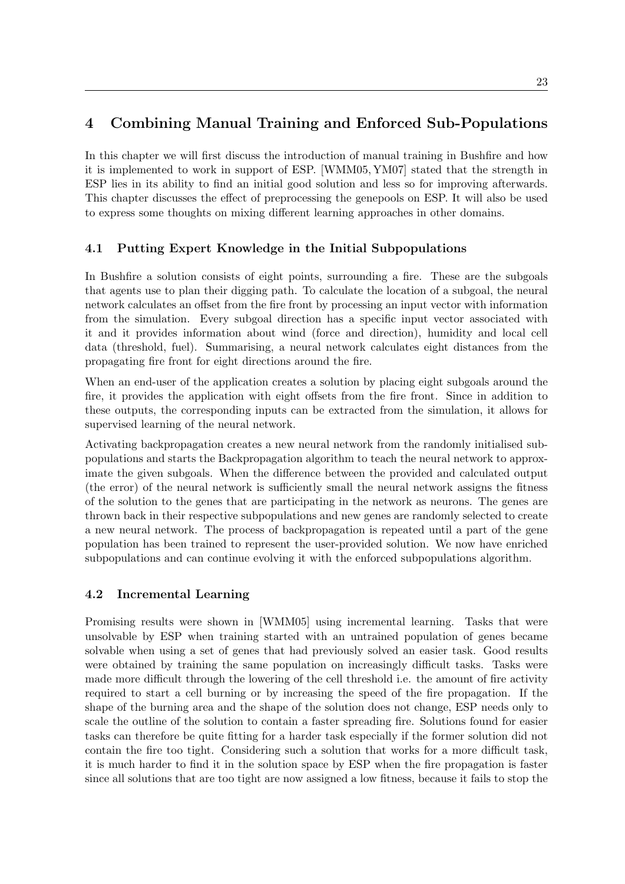## 4 Combining Manual Training and Enforced Sub-Populations

In this chapter we will first discuss the introduction of manual training in Bushfire and how it is implemented to work in support of ESP. [WMM05, YM07] stated that the strength in ESP lies in its ability to find an initial good solution and less so for improving afterwards. This chapter discusses the effect of preprocessing the genepools on ESP. It will also be used to express some thoughts on mixing different learning approaches in other domains.

## 4.1 Putting Expert Knowledge in the Initial Subpopulations

In Bushfire a solution consists of eight points, surrounding a fire. These are the subgoals that agents use to plan their digging path. To calculate the location of a subgoal, the neural network calculates an offset from the fire front by processing an input vector with information from the simulation. Every subgoal direction has a specific input vector associated with it and it provides information about wind (force and direction), humidity and local cell data (threshold, fuel). Summarising, a neural network calculates eight distances from the propagating fire front for eight directions around the fire.

When an end-user of the application creates a solution by placing eight subgoals around the fire, it provides the application with eight offsets from the fire front. Since in addition to these outputs, the corresponding inputs can be extracted from the simulation, it allows for supervised learning of the neural network.

Activating backpropagation creates a new neural network from the randomly initialised subpopulations and starts the Backpropagation algorithm to teach the neural network to approximate the given subgoals. When the difference between the provided and calculated output (the error) of the neural network is sufficiently small the neural network assigns the fitness of the solution to the genes that are participating in the network as neurons. The genes are thrown back in their respective subpopulations and new genes are randomly selected to create a new neural network. The process of backpropagation is repeated until a part of the gene population has been trained to represent the user-provided solution. We now have enriched subpopulations and can continue evolving it with the enforced subpopulations algorithm.

## 4.2 Incremental Learning

Promising results were shown in [WMM05] using incremental learning. Tasks that were unsolvable by ESP when training started with an untrained population of genes became solvable when using a set of genes that had previously solved an easier task. Good results were obtained by training the same population on increasingly difficult tasks. Tasks were made more difficult through the lowering of the cell threshold i.e. the amount of fire activity required to start a cell burning or by increasing the speed of the fire propagation. If the shape of the burning area and the shape of the solution does not change, ESP needs only to scale the outline of the solution to contain a faster spreading fire. Solutions found for easier tasks can therefore be quite fitting for a harder task especially if the former solution did not contain the fire too tight. Considering such a solution that works for a more difficult task, it is much harder to find it in the solution space by ESP when the fire propagation is faster since all solutions that are too tight are now assigned a low fitness, because it fails to stop the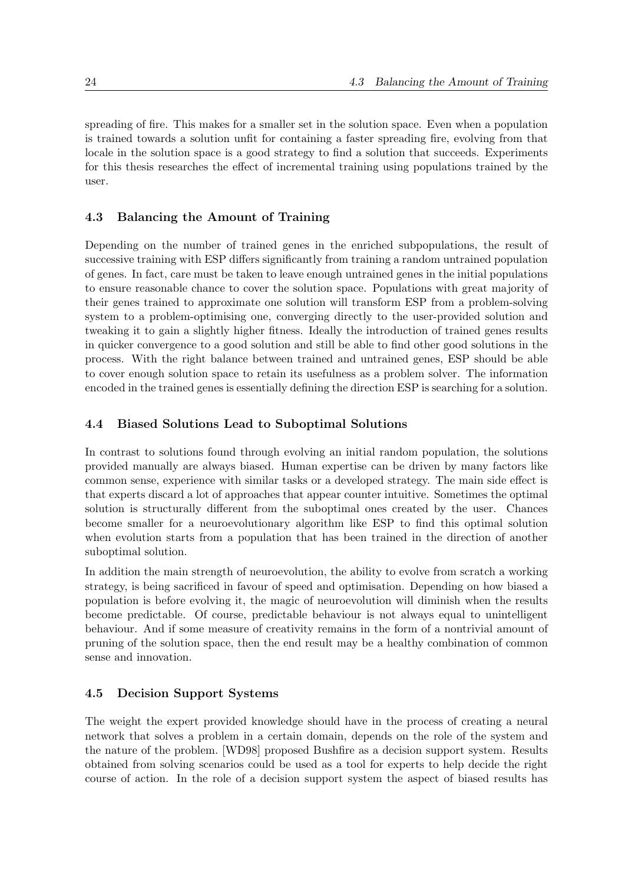spreading of fire. This makes for a smaller set in the solution space. Even when a population is trained towards a solution unfit for containing a faster spreading fire, evolving from that locale in the solution space is a good strategy to find a solution that succeeds. Experiments for this thesis researches the effect of incremental training using populations trained by the user.

#### 4.3 Balancing the Amount of Training

Depending on the number of trained genes in the enriched subpopulations, the result of successive training with ESP differs significantly from training a random untrained population of genes. In fact, care must be taken to leave enough untrained genes in the initial populations to ensure reasonable chance to cover the solution space. Populations with great majority of their genes trained to approximate one solution will transform ESP from a problem-solving system to a problem-optimising one, converging directly to the user-provided solution and tweaking it to gain a slightly higher fitness. Ideally the introduction of trained genes results in quicker convergence to a good solution and still be able to find other good solutions in the process. With the right balance between trained and untrained genes, ESP should be able to cover enough solution space to retain its usefulness as a problem solver. The information encoded in the trained genes is essentially defining the direction ESP is searching for a solution.

#### 4.4 Biased Solutions Lead to Suboptimal Solutions

In contrast to solutions found through evolving an initial random population, the solutions provided manually are always biased. Human expertise can be driven by many factors like common sense, experience with similar tasks or a developed strategy. The main side effect is that experts discard a lot of approaches that appear counter intuitive. Sometimes the optimal solution is structurally different from the suboptimal ones created by the user. Chances become smaller for a neuroevolutionary algorithm like ESP to find this optimal solution when evolution starts from a population that has been trained in the direction of another suboptimal solution.

In addition the main strength of neuroevolution, the ability to evolve from scratch a working strategy, is being sacrificed in favour of speed and optimisation. Depending on how biased a population is before evolving it, the magic of neuroevolution will diminish when the results become predictable. Of course, predictable behaviour is not always equal to unintelligent behaviour. And if some measure of creativity remains in the form of a nontrivial amount of pruning of the solution space, then the end result may be a healthy combination of common sense and innovation.

## 4.5 Decision Support Systems

The weight the expert provided knowledge should have in the process of creating a neural network that solves a problem in a certain domain, depends on the role of the system and the nature of the problem. [WD98] proposed Bushfire as a decision support system. Results obtained from solving scenarios could be used as a tool for experts to help decide the right course of action. In the role of a decision support system the aspect of biased results has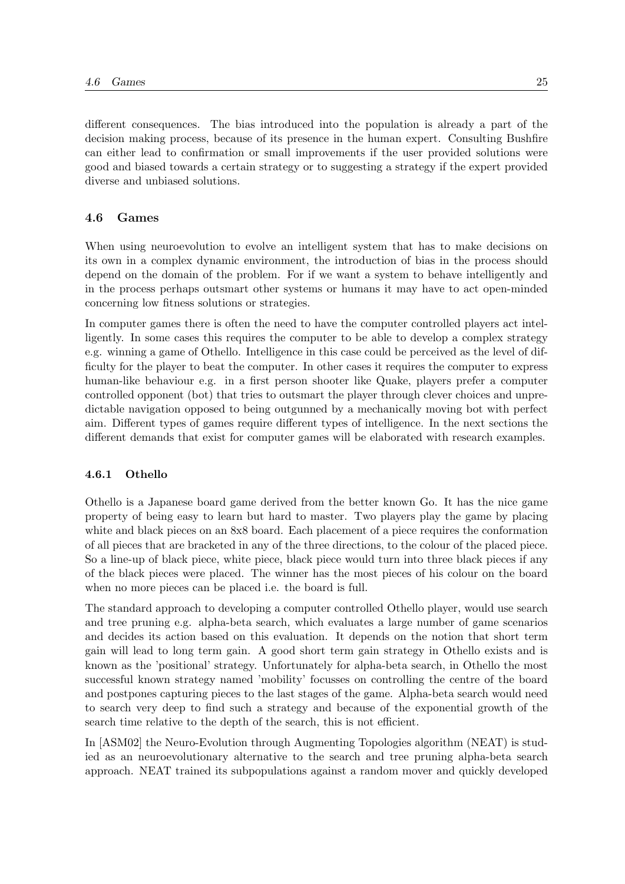different consequences. The bias introduced into the population is already a part of the decision making process, because of its presence in the human expert. Consulting Bushfire can either lead to confirmation or small improvements if the user provided solutions were good and biased towards a certain strategy or to suggesting a strategy if the expert provided diverse and unbiased solutions.

#### 4.6 Games

When using neuroevolution to evolve an intelligent system that has to make decisions on its own in a complex dynamic environment, the introduction of bias in the process should depend on the domain of the problem. For if we want a system to behave intelligently and in the process perhaps outsmart other systems or humans it may have to act open-minded concerning low fitness solutions or strategies.

In computer games there is often the need to have the computer controlled players act intelligently. In some cases this requires the computer to be able to develop a complex strategy e.g. winning a game of Othello. Intelligence in this case could be perceived as the level of difficulty for the player to beat the computer. In other cases it requires the computer to express human-like behaviour e.g. in a first person shooter like Quake, players prefer a computer controlled opponent (bot) that tries to outsmart the player through clever choices and unpredictable navigation opposed to being outgunned by a mechanically moving bot with perfect aim. Different types of games require different types of intelligence. In the next sections the different demands that exist for computer games will be elaborated with research examples.

#### 4.6.1 Othello

Othello is a Japanese board game derived from the better known Go. It has the nice game property of being easy to learn but hard to master. Two players play the game by placing white and black pieces on an 8x8 board. Each placement of a piece requires the conformation of all pieces that are bracketed in any of the three directions, to the colour of the placed piece. So a line-up of black piece, white piece, black piece would turn into three black pieces if any of the black pieces were placed. The winner has the most pieces of his colour on the board when no more pieces can be placed i.e. the board is full.

The standard approach to developing a computer controlled Othello player, would use search and tree pruning e.g. alpha-beta search, which evaluates a large number of game scenarios and decides its action based on this evaluation. It depends on the notion that short term gain will lead to long term gain. A good short term gain strategy in Othello exists and is known as the 'positional' strategy. Unfortunately for alpha-beta search, in Othello the most successful known strategy named 'mobility' focusses on controlling the centre of the board and postpones capturing pieces to the last stages of the game. Alpha-beta search would need to search very deep to find such a strategy and because of the exponential growth of the search time relative to the depth of the search, this is not efficient.

In [ASM02] the Neuro-Evolution through Augmenting Topologies algorithm (NEAT) is studied as an neuroevolutionary alternative to the search and tree pruning alpha-beta search approach. NEAT trained its subpopulations against a random mover and quickly developed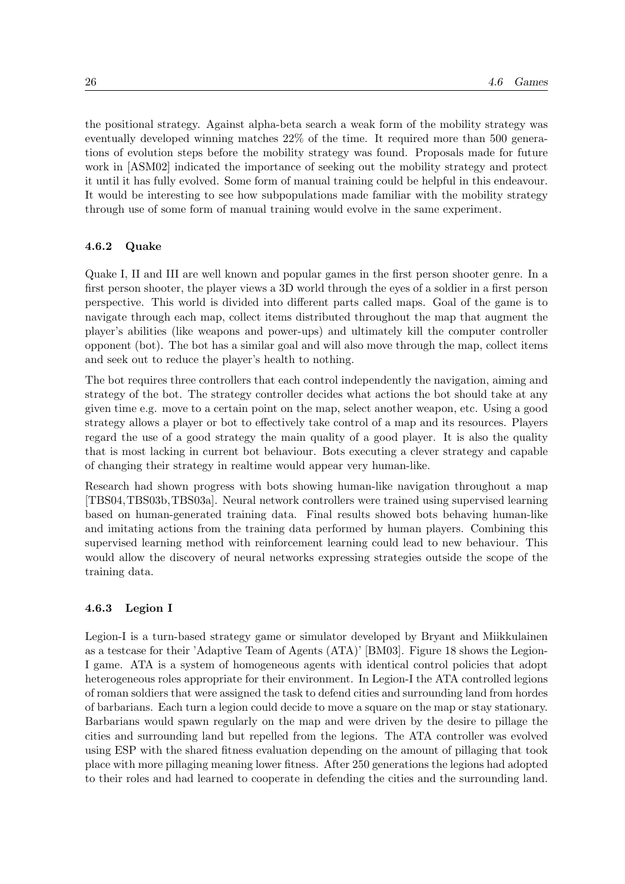the positional strategy. Against alpha-beta search a weak form of the mobility strategy was eventually developed winning matches 22% of the time. It required more than 500 generations of evolution steps before the mobility strategy was found. Proposals made for future work in [ASM02] indicated the importance of seeking out the mobility strategy and protect it until it has fully evolved. Some form of manual training could be helpful in this endeavour. It would be interesting to see how subpopulations made familiar with the mobility strategy through use of some form of manual training would evolve in the same experiment.

#### 4.6.2 Quake

Quake I, II and III are well known and popular games in the first person shooter genre. In a first person shooter, the player views a 3D world through the eyes of a soldier in a first person perspective. This world is divided into different parts called maps. Goal of the game is to navigate through each map, collect items distributed throughout the map that augment the player's abilities (like weapons and power-ups) and ultimately kill the computer controller opponent (bot). The bot has a similar goal and will also move through the map, collect items and seek out to reduce the player's health to nothing.

The bot requires three controllers that each control independently the navigation, aiming and strategy of the bot. The strategy controller decides what actions the bot should take at any given time e.g. move to a certain point on the map, select another weapon, etc. Using a good strategy allows a player or bot to effectively take control of a map and its resources. Players regard the use of a good strategy the main quality of a good player. It is also the quality that is most lacking in current bot behaviour. Bots executing a clever strategy and capable of changing their strategy in realtime would appear very human-like.

Research had shown progress with bots showing human-like navigation throughout a map [TBS04,TBS03b,TBS03a]. Neural network controllers were trained using supervised learning based on human-generated training data. Final results showed bots behaving human-like and imitating actions from the training data performed by human players. Combining this supervised learning method with reinforcement learning could lead to new behaviour. This would allow the discovery of neural networks expressing strategies outside the scope of the training data.

#### 4.6.3 Legion I

Legion-I is a turn-based strategy game or simulator developed by Bryant and Miikkulainen as a testcase for their 'Adaptive Team of Agents (ATA)' [BM03]. Figure 18 shows the Legion-I game. ATA is a system of homogeneous agents with identical control policies that adopt heterogeneous roles appropriate for their environment. In Legion-I the ATA controlled legions of roman soldiers that were assigned the task to defend cities and surrounding land from hordes of barbarians. Each turn a legion could decide to move a square on the map or stay stationary. Barbarians would spawn regularly on the map and were driven by the desire to pillage the cities and surrounding land but repelled from the legions. The ATA controller was evolved using ESP with the shared fitness evaluation depending on the amount of pillaging that took place with more pillaging meaning lower fitness. After 250 generations the legions had adopted to their roles and had learned to cooperate in defending the cities and the surrounding land.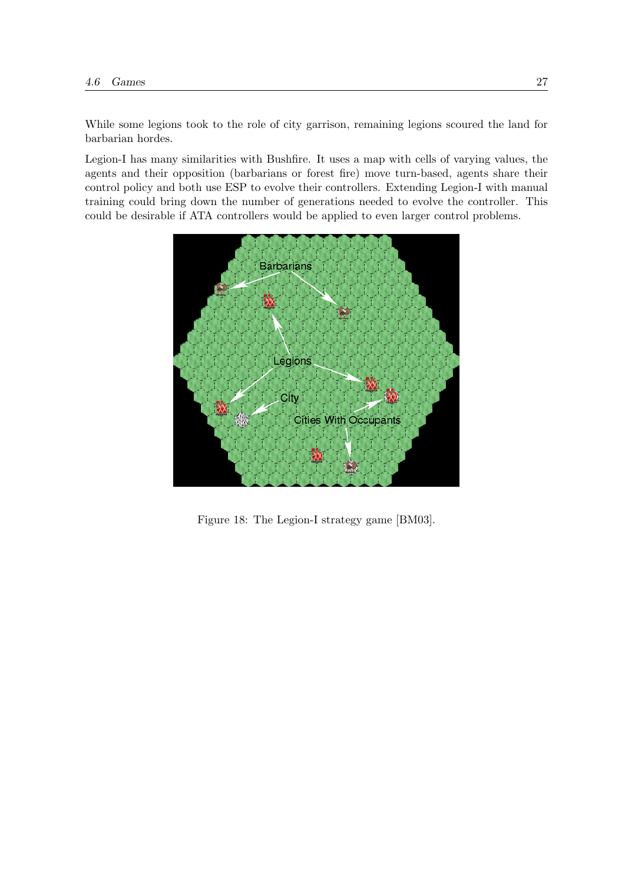While some legions took to the role of city garrison, remaining legions scoured the land for barbarian hordes.

Legion-I has many similarities with Bushfire. It uses a map with cells of varying values, the agents and their opposition (barbarians or forest fire) move turn-based, agents share their control policy and both use ESP to evolve their controllers. Extending Legion-I with manual training could bring down the number of generations needed to evolve the controller. This could be desirable if ATA controllers would be applied to even larger control problems.



Figure 18: The Legion-I strategy game [BM03].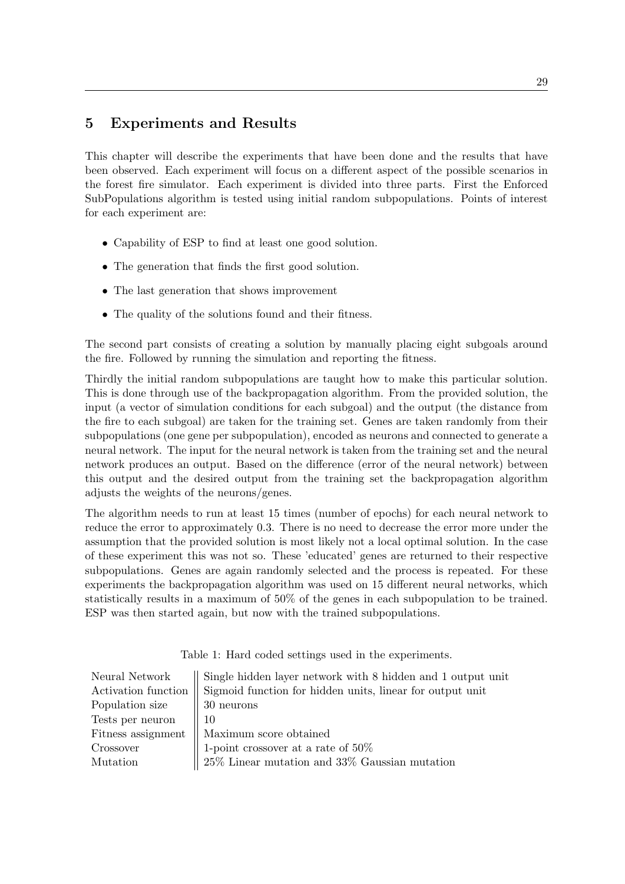## 5 Experiments and Results

This chapter will describe the experiments that have been done and the results that have been observed. Each experiment will focus on a different aspect of the possible scenarios in the forest fire simulator. Each experiment is divided into three parts. First the Enforced SubPopulations algorithm is tested using initial random subpopulations. Points of interest for each experiment are:

- Capability of ESP to find at least one good solution.
- The generation that finds the first good solution.
- The last generation that shows improvement
- The quality of the solutions found and their fitness.

The second part consists of creating a solution by manually placing eight subgoals around the fire. Followed by running the simulation and reporting the fitness.

Thirdly the initial random subpopulations are taught how to make this particular solution. This is done through use of the backpropagation algorithm. From the provided solution, the input (a vector of simulation conditions for each subgoal) and the output (the distance from the fire to each subgoal) are taken for the training set. Genes are taken randomly from their subpopulations (one gene per subpopulation), encoded as neurons and connected to generate a neural network. The input for the neural network is taken from the training set and the neural network produces an output. Based on the difference (error of the neural network) between this output and the desired output from the training set the backpropagation algorithm adjusts the weights of the neurons/genes.

The algorithm needs to run at least 15 times (number of epochs) for each neural network to reduce the error to approximately 0.3. There is no need to decrease the error more under the assumption that the provided solution is most likely not a local optimal solution. In the case of these experiment this was not so. These 'educated' genes are returned to their respective subpopulations. Genes are again randomly selected and the process is repeated. For these experiments the backpropagation algorithm was used on 15 different neural networks, which statistically results in a maximum of 50% of the genes in each subpopulation to be trained. ESP was then started again, but now with the trained subpopulations.

Table 1: Hard coded settings used in the experiments.

| Neural Network        | Single hidden layer network with 8 hidden and 1 output unit |
|-----------------------|-------------------------------------------------------------|
| Activation function   | Sigmoid function for hidden units, linear for output unit   |
| Population size       | 30 neurons                                                  |
| Tests per neuron $\,$ | - 10                                                        |
|                       | Fitness assignment    Maximum score obtained                |
| Crossover             | 1-point crossover at a rate of $50\%$                       |
| Mutation              | $25\%$ Linear mutation and $33\%$ Gaussian mutation         |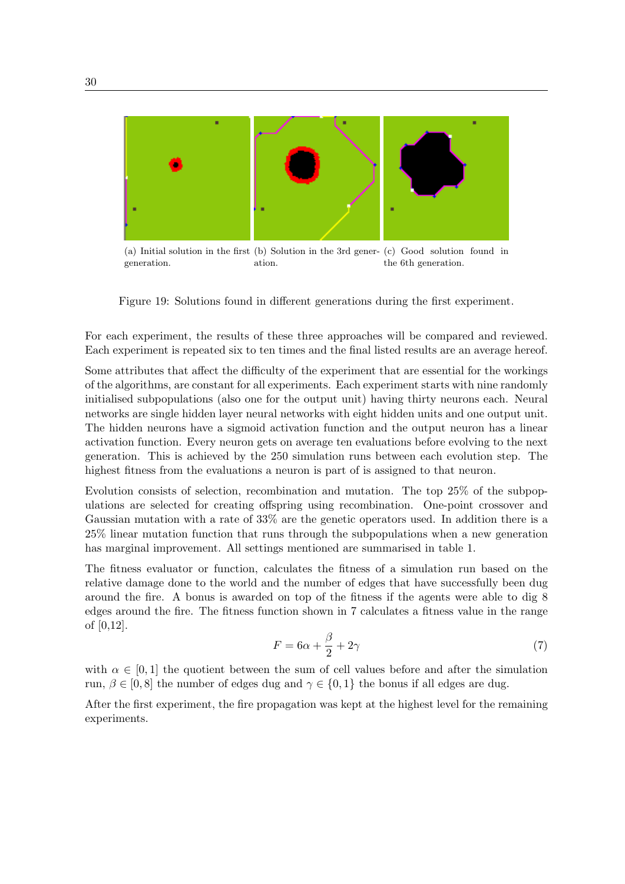

(a) Initial solution in the first (b) Solution in the 3rd gener-(c) Good solution found in generation. ation. the 6th generation.

Figure 19: Solutions found in different generations during the first experiment.

For each experiment, the results of these three approaches will be compared and reviewed. Each experiment is repeated six to ten times and the final listed results are an average hereof.

Some attributes that affect the difficulty of the experiment that are essential for the workings of the algorithms, are constant for all experiments. Each experiment starts with nine randomly initialised subpopulations (also one for the output unit) having thirty neurons each. Neural networks are single hidden layer neural networks with eight hidden units and one output unit. The hidden neurons have a sigmoid activation function and the output neuron has a linear activation function. Every neuron gets on average ten evaluations before evolving to the next generation. This is achieved by the 250 simulation runs between each evolution step. The highest fitness from the evaluations a neuron is part of is assigned to that neuron.

Evolution consists of selection, recombination and mutation. The top 25% of the subpopulations are selected for creating offspring using recombination. One-point crossover and Gaussian mutation with a rate of 33% are the genetic operators used. In addition there is a 25% linear mutation function that runs through the subpopulations when a new generation has marginal improvement. All settings mentioned are summarised in table 1.

The fitness evaluator or function, calculates the fitness of a simulation run based on the relative damage done to the world and the number of edges that have successfully been dug around the fire. A bonus is awarded on top of the fitness if the agents were able to dig 8 edges around the fire. The fitness function shown in 7 calculates a fitness value in the range of [0,12].

$$
F = 6\alpha + \frac{\beta}{2} + 2\gamma\tag{7}
$$

with  $\alpha \in [0,1]$  the quotient between the sum of cell values before and after the simulation run,  $\beta \in [0, 8]$  the number of edges dug and  $\gamma \in \{0, 1\}$  the bonus if all edges are dug.

After the first experiment, the fire propagation was kept at the highest level for the remaining experiments.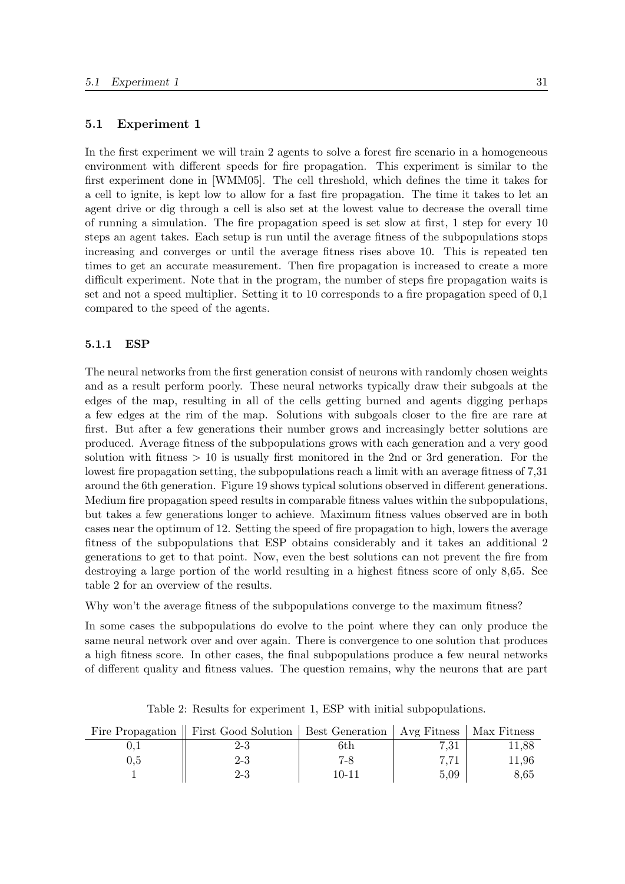#### 5.1 Experiment 1

In the first experiment we will train 2 agents to solve a forest fire scenario in a homogeneous environment with different speeds for fire propagation. This experiment is similar to the first experiment done in [WMM05]. The cell threshold, which defines the time it takes for a cell to ignite, is kept low to allow for a fast fire propagation. The time it takes to let an agent drive or dig through a cell is also set at the lowest value to decrease the overall time of running a simulation. The fire propagation speed is set slow at first, 1 step for every 10 steps an agent takes. Each setup is run until the average fitness of the subpopulations stops increasing and converges or until the average fitness rises above 10. This is repeated ten times to get an accurate measurement. Then fire propagation is increased to create a more difficult experiment. Note that in the program, the number of steps fire propagation waits is set and not a speed multiplier. Setting it to 10 corresponds to a fire propagation speed of 0,1 compared to the speed of the agents.

#### 5.1.1 ESP

The neural networks from the first generation consist of neurons with randomly chosen weights and as a result perform poorly. These neural networks typically draw their subgoals at the edges of the map, resulting in all of the cells getting burned and agents digging perhaps a few edges at the rim of the map. Solutions with subgoals closer to the fire are rare at first. But after a few generations their number grows and increasingly better solutions are produced. Average fitness of the subpopulations grows with each generation and a very good solution with fitness  $> 10$  is usually first monitored in the 2nd or 3rd generation. For the lowest fire propagation setting, the subpopulations reach a limit with an average fitness of 7,31 around the 6th generation. Figure 19 shows typical solutions observed in different generations. Medium fire propagation speed results in comparable fitness values within the subpopulations, but takes a few generations longer to achieve. Maximum fitness values observed are in both cases near the optimum of 12. Setting the speed of fire propagation to high, lowers the average fitness of the subpopulations that ESP obtains considerably and it takes an additional 2 generations to get to that point. Now, even the best solutions can not prevent the fire from destroying a large portion of the world resulting in a highest fitness score of only 8,65. See table 2 for an overview of the results.

Why won't the average fitness of the subpopulations converge to the maximum fitness?

In some cases the subpopulations do evolve to the point where they can only produce the same neural network over and over again. There is convergence to one solution that produces a high fitness score. In other cases, the final subpopulations produce a few neural networks of different quality and fitness values. The question remains, why the neurons that are part

|     | Fire Propagation   First Good Solution   Best Generation   Avg Fitness   Max Fitness |         |          |       |
|-----|--------------------------------------------------------------------------------------|---------|----------|-------|
|     | $2 - 3$                                                                              | 6th     | $7.31\,$ | 11,88 |
| 0.5 | 2-3                                                                                  | $7 - 8$ | m m1     | 11.96 |
|     | 2-3                                                                                  | 10-11   | 5.09     | 8,65  |

Table 2: Results for experiment 1, ESP with initial subpopulations.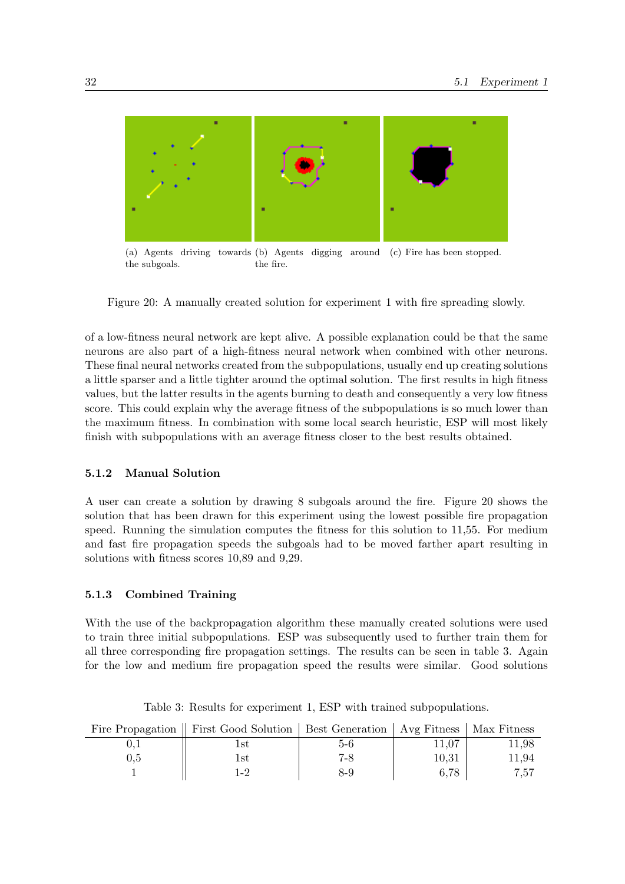

(a) Agents driving towards (b) Agents digging around (c) Fire has been stopped. the subgoals. the fire.

Figure 20: A manually created solution for experiment 1 with fire spreading slowly.

of a low-fitness neural network are kept alive. A possible explanation could be that the same neurons are also part of a high-fitness neural network when combined with other neurons. These final neural networks created from the subpopulations, usually end up creating solutions a little sparser and a little tighter around the optimal solution. The first results in high fitness values, but the latter results in the agents burning to death and consequently a very low fitness score. This could explain why the average fitness of the subpopulations is so much lower than the maximum fitness. In combination with some local search heuristic, ESP will most likely finish with subpopulations with an average fitness closer to the best results obtained.

#### 5.1.2 Manual Solution

A user can create a solution by drawing 8 subgoals around the fire. Figure 20 shows the solution that has been drawn for this experiment using the lowest possible fire propagation speed. Running the simulation computes the fitness for this solution to 11,55. For medium and fast fire propagation speeds the subgoals had to be moved farther apart resulting in solutions with fitness scores 10,89 and 9,29.

#### 5.1.3 Combined Training

With the use of the backpropagation algorithm these manually created solutions were used to train three initial subpopulations. ESP was subsequently used to further train them for all three corresponding fire propagation settings. The results can be seen in table 3. Again for the low and medium fire propagation speed the results were similar. Good solutions

|     | Fire Propagation   First Good Solution   Best Generation   Avg Fitness   Max Fitness |         |       |       |
|-----|--------------------------------------------------------------------------------------|---------|-------|-------|
|     | $_{\rm 1st}$                                                                         | 5-6     | 11.07 | 11.98 |
| U.5 | Lst                                                                                  | $7 - 8$ | 10.31 | 11.94 |
|     |                                                                                      | 8-9     | 6.78  | 7,57  |

Table 3: Results for experiment 1, ESP with trained subpopulations.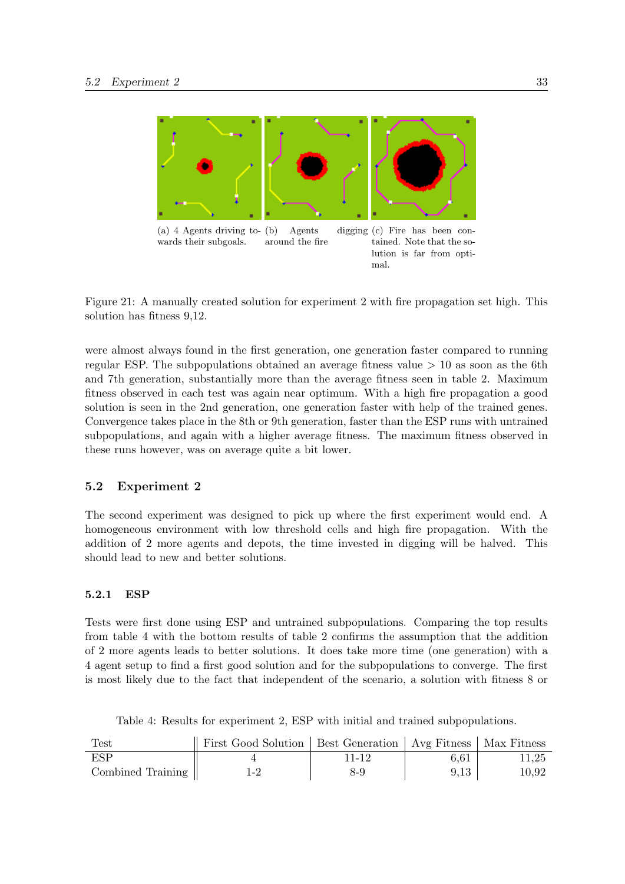

Figure 21: A manually created solution for experiment 2 with fire propagation set high. This solution has fitness 9,12.

were almost always found in the first generation, one generation faster compared to running regular ESP. The subpopulations obtained an average fitness value  $> 10$  as soon as the 6th and 7th generation, substantially more than the average fitness seen in table 2. Maximum fitness observed in each test was again near optimum. With a high fire propagation a good solution is seen in the 2nd generation, one generation faster with help of the trained genes. Convergence takes place in the 8th or 9th generation, faster than the ESP runs with untrained subpopulations, and again with a higher average fitness. The maximum fitness observed in these runs however, was on average quite a bit lower.

#### 5.2 Experiment 2

The second experiment was designed to pick up where the first experiment would end. A homogeneous environment with low threshold cells and high fire propagation. With the addition of 2 more agents and depots, the time invested in digging will be halved. This should lead to new and better solutions.

#### 5.2.1 ESP

Tests were first done using ESP and untrained subpopulations. Comparing the top results from table 4 with the bottom results of table 2 confirms the assumption that the addition of 2 more agents leads to better solutions. It does take more time (one generation) with a 4 agent setup to find a first good solution and for the subpopulations to converge. The first is most likely due to the fact that independent of the scenario, a solution with fitness 8 or

| Test              | First Good Solution   Best Generation   Avg Fitness   Max Fitness |       |      |       |
|-------------------|-------------------------------------------------------------------|-------|------|-------|
| ESP               |                                                                   | 11-12 | 6.61 | 11.25 |
| Combined Training | $1-2$                                                             | 8-9   | 9,13 | 10,92 |

Table 4: Results for experiment 2, ESP with initial and trained subpopulations.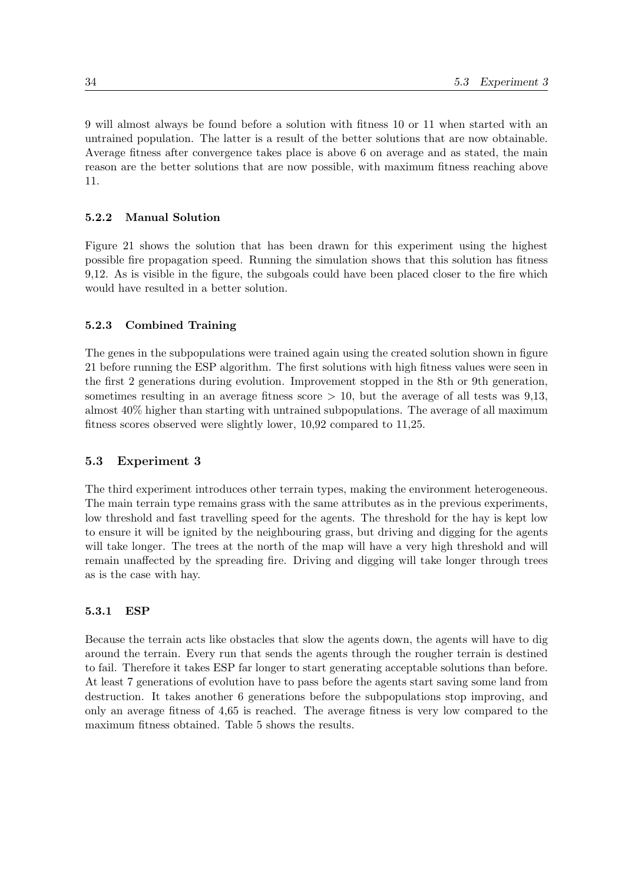9 will almost always be found before a solution with fitness 10 or 11 when started with an untrained population. The latter is a result of the better solutions that are now obtainable. Average fitness after convergence takes place is above 6 on average and as stated, the main reason are the better solutions that are now possible, with maximum fitness reaching above 11.

#### 5.2.2 Manual Solution

Figure 21 shows the solution that has been drawn for this experiment using the highest possible fire propagation speed. Running the simulation shows that this solution has fitness 9,12. As is visible in the figure, the subgoals could have been placed closer to the fire which would have resulted in a better solution.

#### 5.2.3 Combined Training

The genes in the subpopulations were trained again using the created solution shown in figure 21 before running the ESP algorithm. The first solutions with high fitness values were seen in the first 2 generations during evolution. Improvement stopped in the 8th or 9th generation, sometimes resulting in an average fitness score  $> 10$ , but the average of all tests was 9,13, almost 40% higher than starting with untrained subpopulations. The average of all maximum fitness scores observed were slightly lower, 10,92 compared to 11,25.

#### 5.3 Experiment 3

The third experiment introduces other terrain types, making the environment heterogeneous. The main terrain type remains grass with the same attributes as in the previous experiments, low threshold and fast travelling speed for the agents. The threshold for the hay is kept low to ensure it will be ignited by the neighbouring grass, but driving and digging for the agents will take longer. The trees at the north of the map will have a very high threshold and will remain unaffected by the spreading fire. Driving and digging will take longer through trees as is the case with hay.

#### 5.3.1 ESP

Because the terrain acts like obstacles that slow the agents down, the agents will have to dig around the terrain. Every run that sends the agents through the rougher terrain is destined to fail. Therefore it takes ESP far longer to start generating acceptable solutions than before. At least 7 generations of evolution have to pass before the agents start saving some land from destruction. It takes another 6 generations before the subpopulations stop improving, and only an average fitness of 4,65 is reached. The average fitness is very low compared to the maximum fitness obtained. Table 5 shows the results.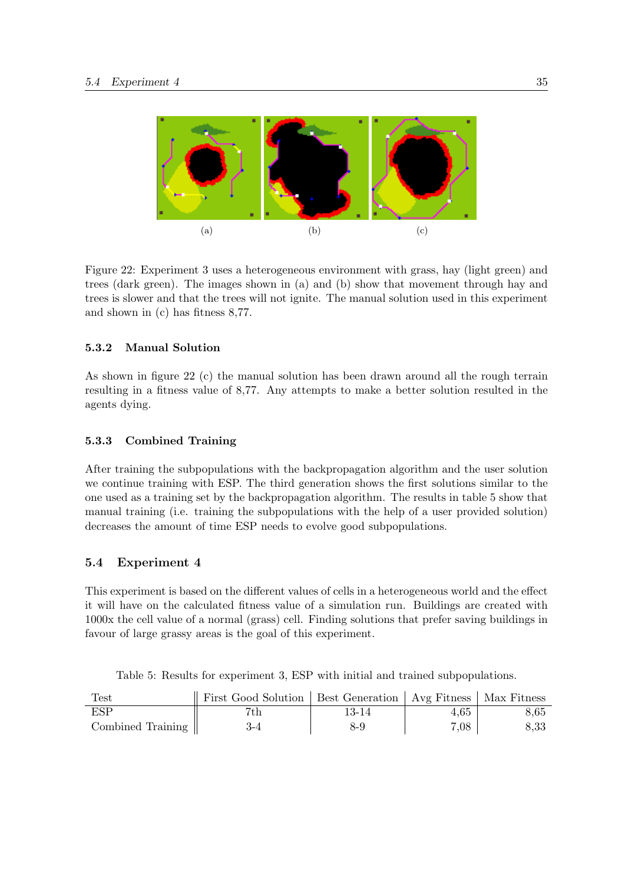

Figure 22: Experiment 3 uses a heterogeneous environment with grass, hay (light green) and trees (dark green). The images shown in (a) and (b) show that movement through hay and trees is slower and that the trees will not ignite. The manual solution used in this experiment and shown in (c) has fitness 8,77.

#### 5.3.2 Manual Solution

As shown in figure 22 (c) the manual solution has been drawn around all the rough terrain resulting in a fitness value of 8,77. Any attempts to make a better solution resulted in the agents dying.

#### 5.3.3 Combined Training

After training the subpopulations with the backpropagation algorithm and the user solution we continue training with ESP. The third generation shows the first solutions similar to the one used as a training set by the backpropagation algorithm. The results in table 5 show that manual training (i.e. training the subpopulations with the help of a user provided solution) decreases the amount of time ESP needs to evolve good subpopulations.

#### 5.4 Experiment 4

This experiment is based on the different values of cells in a heterogeneous world and the effect it will have on the calculated fitness value of a simulation run. Buildings are created with 1000x the cell value of a normal (grass) cell. Finding solutions that prefer saving buildings in favour of large grassy areas is the goal of this experiment.

Table 5: Results for experiment 3, ESP with initial and trained subpopulations.

| Test              | First Good Solution   Best Generation   Avg Fitness   Max Fitness |       |      |      |
|-------------------|-------------------------------------------------------------------|-------|------|------|
| ESP               |                                                                   | 13-14 | 4.65 | 8,65 |
| Combined Training | $3-4$                                                             | 8-9   | 7.08 | 8,33 |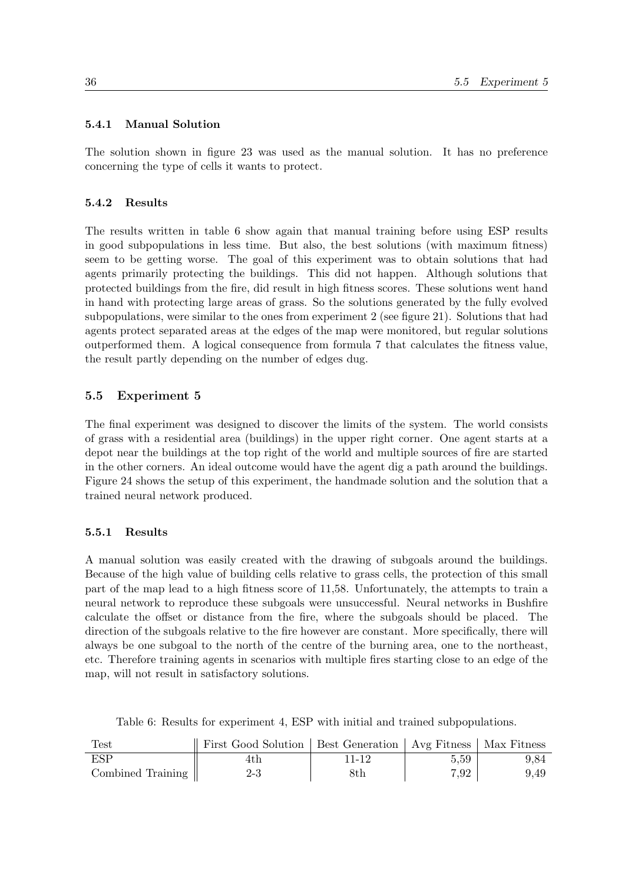#### 5.4.1 Manual Solution

The solution shown in figure 23 was used as the manual solution. It has no preference concerning the type of cells it wants to protect.

#### 5.4.2 Results

The results written in table 6 show again that manual training before using ESP results in good subpopulations in less time. But also, the best solutions (with maximum fitness) seem to be getting worse. The goal of this experiment was to obtain solutions that had agents primarily protecting the buildings. This did not happen. Although solutions that protected buildings from the fire, did result in high fitness scores. These solutions went hand in hand with protecting large areas of grass. So the solutions generated by the fully evolved subpopulations, were similar to the ones from experiment 2 (see figure 21). Solutions that had agents protect separated areas at the edges of the map were monitored, but regular solutions outperformed them. A logical consequence from formula 7 that calculates the fitness value, the result partly depending on the number of edges dug.

## 5.5 Experiment 5

The final experiment was designed to discover the limits of the system. The world consists of grass with a residential area (buildings) in the upper right corner. One agent starts at a depot near the buildings at the top right of the world and multiple sources of fire are started in the other corners. An ideal outcome would have the agent dig a path around the buildings. Figure 24 shows the setup of this experiment, the handmade solution and the solution that a trained neural network produced.

#### 5.5.1 Results

A manual solution was easily created with the drawing of subgoals around the buildings. Because of the high value of building cells relative to grass cells, the protection of this small part of the map lead to a high fitness score of 11,58. Unfortunately, the attempts to train a neural network to reproduce these subgoals were unsuccessful. Neural networks in Bushfire calculate the offset or distance from the fire, where the subgoals should be placed. The direction of the subgoals relative to the fire however are constant. More specifically, there will always be one subgoal to the north of the centre of the burning area, one to the northeast, etc. Therefore training agents in scenarios with multiple fires starting close to an edge of the map, will not result in satisfactory solutions.

| Test              | First Good Solution   Best Generation   Avg Fitness   Max Fitness |       |      |      |
|-------------------|-------------------------------------------------------------------|-------|------|------|
| ESP               |                                                                   | 11-12 | 5.59 | 9.84 |
| Combined Training | $2 - 3$                                                           | 8th   | 7.92 | 9.49 |

Table 6: Results for experiment 4, ESP with initial and trained subpopulations.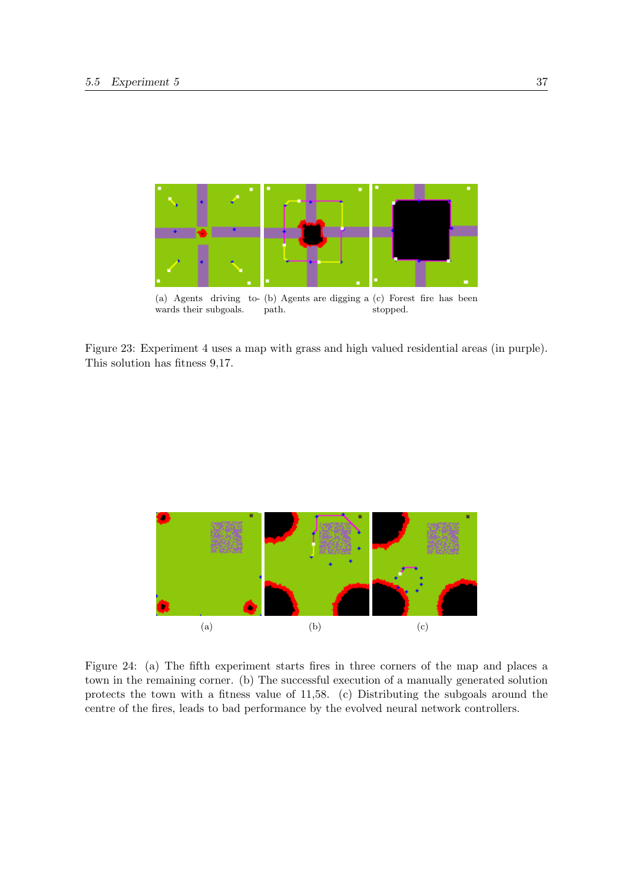

(a) Agents driving to-(b) Agents are digging a (c) Forest fire has been wards their subgoals. path. stopped.

Figure 23: Experiment 4 uses a map with grass and high valued residential areas (in purple). This solution has fitness 9,17.



Figure 24: (a) The fifth experiment starts fires in three corners of the map and places a town in the remaining corner. (b) The successful execution of a manually generated solution protects the town with a fitness value of 11,58. (c) Distributing the subgoals around the centre of the fires, leads to bad performance by the evolved neural network controllers.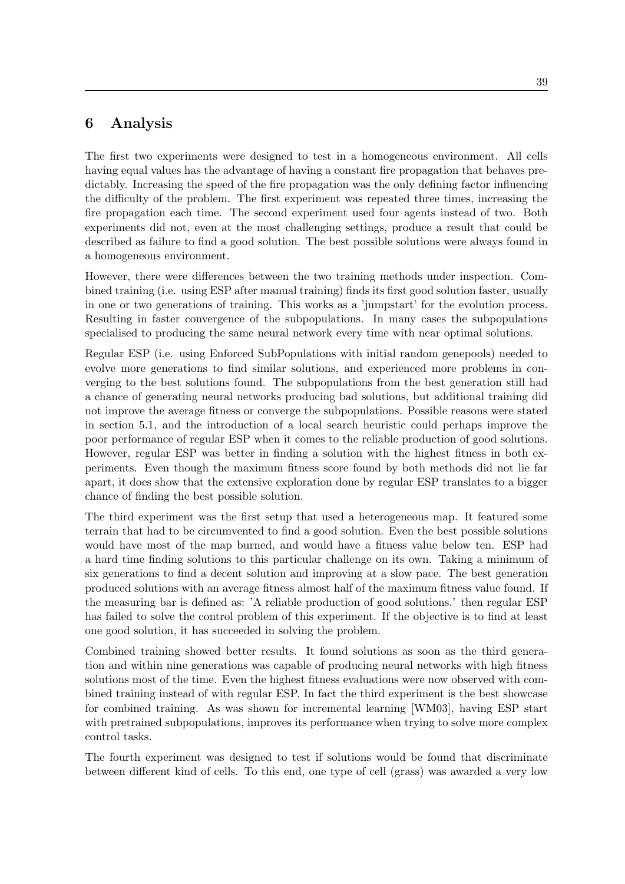## 6 Analysis

The first two experiments were designed to test in a homogeneous environment. All cells having equal values has the advantage of having a constant fire propagation that behaves predictably. Increasing the speed of the fire propagation was the only defining factor influencing the difficulty of the problem. The first experiment was repeated three times, increasing the fire propagation each time. The second experiment used four agents instead of two. Both experiments did not, even at the most challenging settings, produce a result that could be described as failure to find a good solution. The best possible solutions were always found in a homogeneous environment.

However, there were differences between the two training methods under inspection. Combined training (i.e. using ESP after manual training) finds its first good solution faster, usually in one or two generations of training. This works as a 'jumpstart' for the evolution process. Resulting in faster convergence of the subpopulations. In many cases the subpopulations specialised to producing the same neural network every time with near optimal solutions.

Regular ESP (i.e. using Enforced SubPopulations with initial random genepools) needed to evolve more generations to find similar solutions, and experienced more problems in converging to the best solutions found. The subpopulations from the best generation still had a chance of generating neural networks producing bad solutions, but additional training did not improve the average fitness or converge the subpopulations. Possible reasons were stated in section 5.1, and the introduction of a local search heuristic could perhaps improve the poor performance of regular ESP when it comes to the reliable production of good solutions. However, regular ESP was better in finding a solution with the highest fitness in both experiments. Even though the maximum fitness score found by both methods did not lie far apart, it does show that the extensive exploration done by regular ESP translates to a bigger chance of finding the best possible solution.

The third experiment was the first setup that used a heterogeneous map. It featured some terrain that had to be circumvented to find a good solution. Even the best possible solutions would have most of the map burned, and would have a fitness value below ten. ESP had a hard time finding solutions to this particular challenge on its own. Taking a minimum of six generations to find a decent solution and improving at a slow pace. The best generation produced solutions with an average fitness almost half of the maximum fitness value found. If the measuring bar is defined as: 'A reliable production of good solutions.' then regular ESP has failed to solve the control problem of this experiment. If the objective is to find at least one good solution, it has succeeded in solving the problem.

Combined training showed better results. It found solutions as soon as the third generation and within nine generations was capable of producing neural networks with high fitness solutions most of the time. Even the highest fitness evaluations were now observed with combined training instead of with regular ESP. In fact the third experiment is the best showcase for combined training. As was shown for incremental learning [WM03], having ESP start with pretrained subpopulations, improves its performance when trying to solve more complex control tasks.

The fourth experiment was designed to test if solutions would be found that discriminate between different kind of cells. To this end, one type of cell (grass) was awarded a very low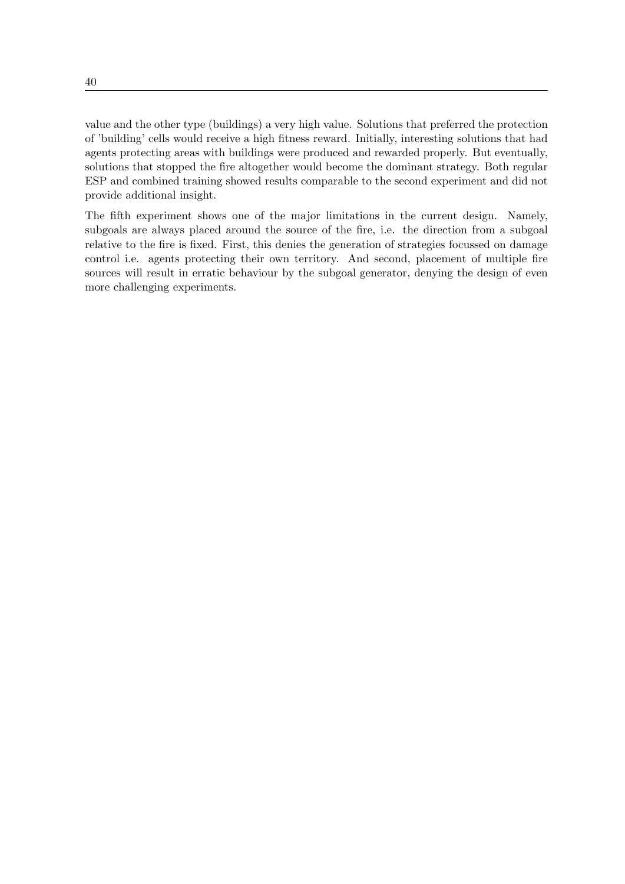value and the other type (buildings) a very high value. Solutions that preferred the protection of 'building' cells would receive a high fitness reward. Initially, interesting solutions that had agents protecting areas with buildings were produced and rewarded properly. But eventually, solutions that stopped the fire altogether would become the dominant strategy. Both regular ESP and combined training showed results comparable to the second experiment and did not provide additional insight.

The fifth experiment shows one of the major limitations in the current design. Namely, subgoals are always placed around the source of the fire, i.e. the direction from a subgoal relative to the fire is fixed. First, this denies the generation of strategies focussed on damage control i.e. agents protecting their own territory. And second, placement of multiple fire sources will result in erratic behaviour by the subgoal generator, denying the design of even more challenging experiments.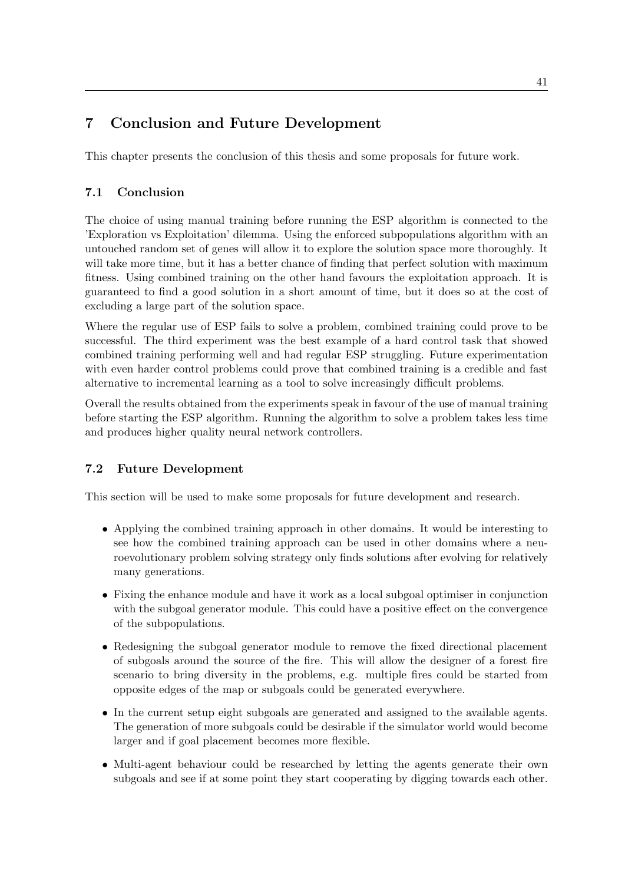## 7 Conclusion and Future Development

This chapter presents the conclusion of this thesis and some proposals for future work.

## 7.1 Conclusion

The choice of using manual training before running the ESP algorithm is connected to the 'Exploration vs Exploitation' dilemma. Using the enforced subpopulations algorithm with an untouched random set of genes will allow it to explore the solution space more thoroughly. It will take more time, but it has a better chance of finding that perfect solution with maximum fitness. Using combined training on the other hand favours the exploitation approach. It is guaranteed to find a good solution in a short amount of time, but it does so at the cost of excluding a large part of the solution space.

Where the regular use of ESP fails to solve a problem, combined training could prove to be successful. The third experiment was the best example of a hard control task that showed combined training performing well and had regular ESP struggling. Future experimentation with even harder control problems could prove that combined training is a credible and fast alternative to incremental learning as a tool to solve increasingly difficult problems.

Overall the results obtained from the experiments speak in favour of the use of manual training before starting the ESP algorithm. Running the algorithm to solve a problem takes less time and produces higher quality neural network controllers.

## 7.2 Future Development

This section will be used to make some proposals for future development and research.

- Applying the combined training approach in other domains. It would be interesting to see how the combined training approach can be used in other domains where a neuroevolutionary problem solving strategy only finds solutions after evolving for relatively many generations.
- Fixing the enhance module and have it work as a local subgoal optimiser in conjunction with the subgoal generator module. This could have a positive effect on the convergence of the subpopulations.
- Redesigning the subgoal generator module to remove the fixed directional placement of subgoals around the source of the fire. This will allow the designer of a forest fire scenario to bring diversity in the problems, e.g. multiple fires could be started from opposite edges of the map or subgoals could be generated everywhere.
- In the current setup eight subgoals are generated and assigned to the available agents. The generation of more subgoals could be desirable if the simulator world would become larger and if goal placement becomes more flexible.
- Multi-agent behaviour could be researched by letting the agents generate their own subgoals and see if at some point they start cooperating by digging towards each other.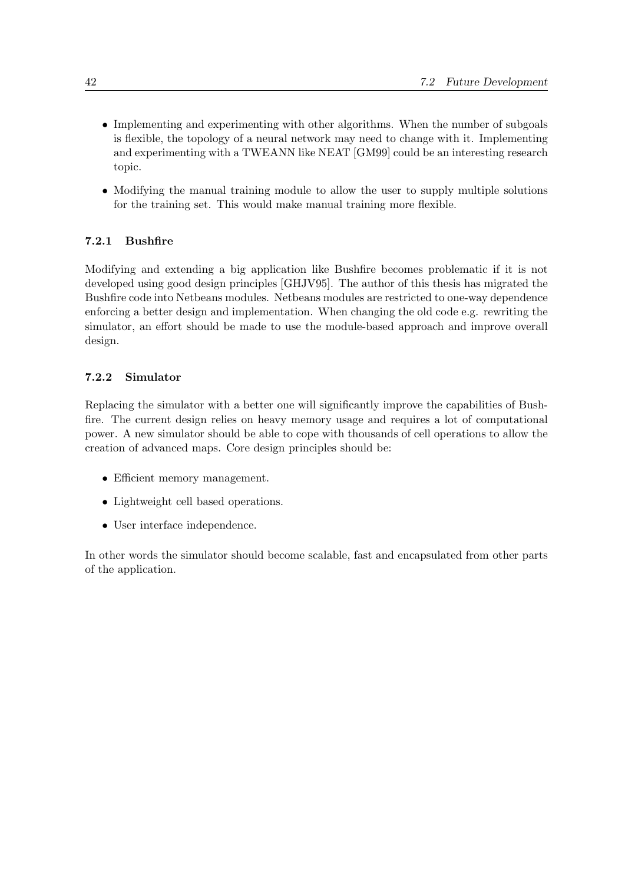- Implementing and experimenting with other algorithms. When the number of subgoals is flexible, the topology of a neural network may need to change with it. Implementing and experimenting with a TWEANN like NEAT [GM99] could be an interesting research topic.
- Modifying the manual training module to allow the user to supply multiple solutions for the training set. This would make manual training more flexible.

## 7.2.1 Bushfire

Modifying and extending a big application like Bushfire becomes problematic if it is not developed using good design principles [GHJV95]. The author of this thesis has migrated the Bushfire code into Netbeans modules. Netbeans modules are restricted to one-way dependence enforcing a better design and implementation. When changing the old code e.g. rewriting the simulator, an effort should be made to use the module-based approach and improve overall design.

## 7.2.2 Simulator

Replacing the simulator with a better one will significantly improve the capabilities of Bushfire. The current design relies on heavy memory usage and requires a lot of computational power. A new simulator should be able to cope with thousands of cell operations to allow the creation of advanced maps. Core design principles should be:

- Efficient memory management.
- Lightweight cell based operations.
- User interface independence.

In other words the simulator should become scalable, fast and encapsulated from other parts of the application.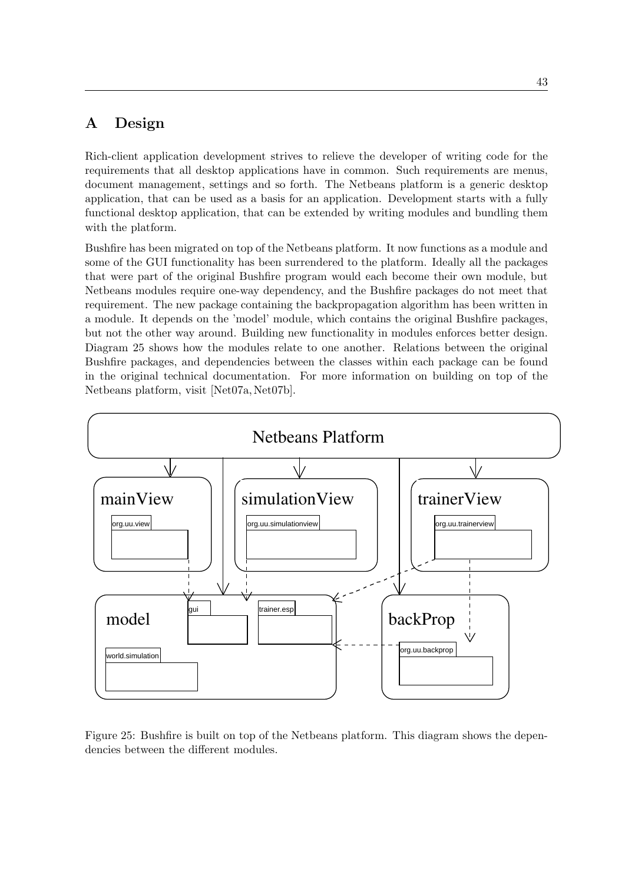## A Design

Rich-client application development strives to relieve the developer of writing code for the requirements that all desktop applications have in common. Such requirements are menus, document management, settings and so forth. The Netbeans platform is a generic desktop application, that can be used as a basis for an application. Development starts with a fully functional desktop application, that can be extended by writing modules and bundling them with the platform.

Bushfire has been migrated on top of the Netbeans platform. It now functions as a module and some of the GUI functionality has been surrendered to the platform. Ideally all the packages that were part of the original Bushfire program would each become their own module, but Netbeans modules require one-way dependency, and the Bushfire packages do not meet that requirement. The new package containing the backpropagation algorithm has been written in a module. It depends on the 'model' module, which contains the original Bushfire packages, but not the other way around. Building new functionality in modules enforces better design. Diagram 25 shows how the modules relate to one another. Relations between the original Bushfire packages, and dependencies between the classes within each package can be found in the original technical documentation. For more information on building on top of the Netbeans platform, visit [Net07a, Net07b].



Figure 25: Bushfire is built on top of the Netbeans platform. This diagram shows the dependencies between the different modules.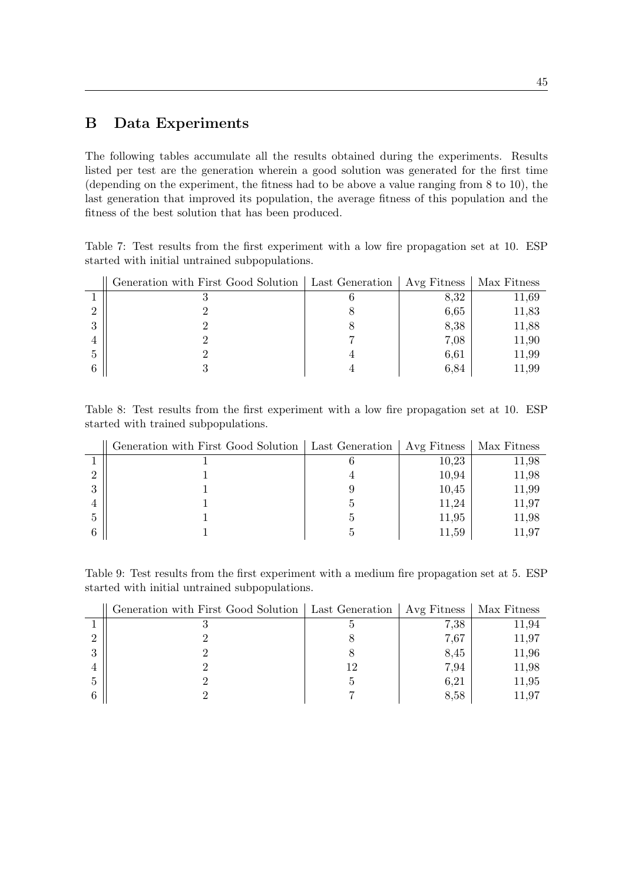## B Data Experiments

The following tables accumulate all the results obtained during the experiments. Results listed per test are the generation wherein a good solution was generated for the first time (depending on the experiment, the fitness had to be above a value ranging from 8 to 10), the last generation that improved its population, the average fitness of this population and the fitness of the best solution that has been produced.

Table 7: Test results from the first experiment with a low fire propagation set at 10. ESP started with initial untrained subpopulations.

|          | Generation with First Good Solution   Last Generation | Avg Fitness | Max Fitness |
|----------|-------------------------------------------------------|-------------|-------------|
|          |                                                       | 8,32        | 11,69       |
|          |                                                       | 6,65        | 11,83       |
| $\Omega$ |                                                       | 8,38        | 11,88       |
|          |                                                       | 7,08        | 11,90       |
| -5       |                                                       | 6.61        | 11,99       |
|          |                                                       | 6.84        | 11.99       |

Table 8: Test results from the first experiment with a low fire propagation set at 10. ESP started with trained subpopulations.

|          | Generation with First Good Solution   Last Generation   Avg Fitness |       | Max Fitness |
|----------|---------------------------------------------------------------------|-------|-------------|
|          |                                                                     | 10,23 | 11,98       |
|          |                                                                     | 10,94 | 11,98       |
| $\Omega$ |                                                                     | 10,45 | 11,99       |
|          |                                                                     | 11.24 | 11,97       |
| -5       |                                                                     | 11,95 | 11,98       |
|          |                                                                     | 11.59 | 11.97       |

Table 9: Test results from the first experiment with a medium fire propagation set at 5. ESP started with initial untrained subpopulations.

|         | Generation with First Good Solution   Last Generation   Avg Fitness |      | Max Fitness |
|---------|---------------------------------------------------------------------|------|-------------|
|         |                                                                     | 7,38 | 11,94       |
|         |                                                                     | 7.67 | 11,97       |
| ച<br>., |                                                                     | 8,45 | 11,96       |
|         |                                                                     | 7.94 | 11,98       |
|         |                                                                     | 6,21 | 11,95       |
|         |                                                                     | 8,58 | 11.97       |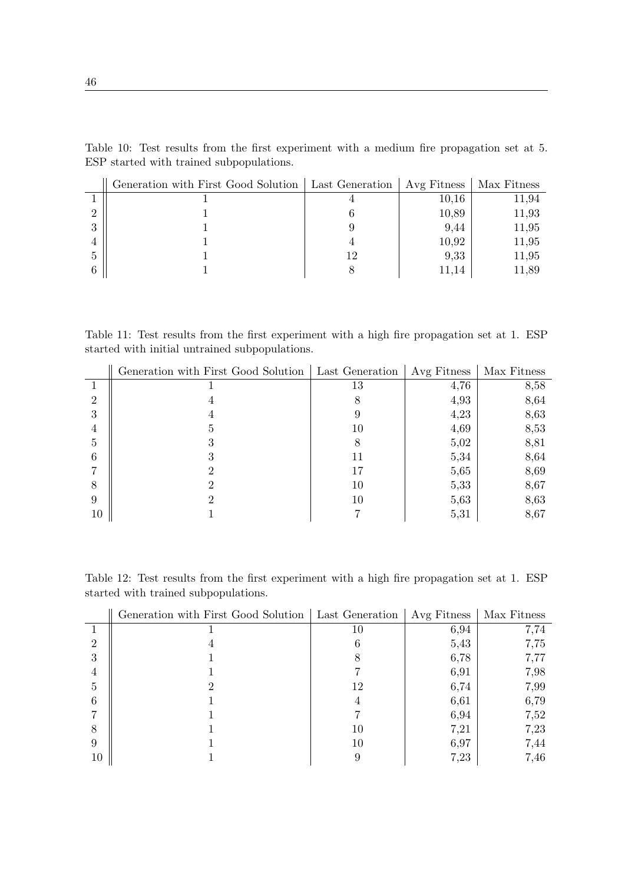| Generation with First Good Solution   Last Generation | Avg Fitness | Max Fitness |
|-------------------------------------------------------|-------------|-------------|
|                                                       | 10,16       | 11,94       |
|                                                       | 10,89       | 11,93       |
|                                                       | 9.44        | 11,95       |
|                                                       | 10,92       | 11,95       |
|                                                       | 9,33        | 11,95       |
|                                                       | 11.14       | 11,89       |

Table 10: Test results from the first experiment with a medium fire propagation set at 5. ESP started with trained subpopulations.

Table 11: Test results from the first experiment with a high fire propagation set at 1. ESP started with initial untrained subpopulations.

|                | Generation with First Good Solution | Last Generation | Avg Fitness | Max Fitness |
|----------------|-------------------------------------|-----------------|-------------|-------------|
|                |                                     | 13              | 4,76        | 8,58        |
| $\overline{2}$ |                                     |                 | 4,93        | 8,64        |
| 3              |                                     | У               | 4,23        | 8,63        |
| 4              | G                                   | 10              | 4,69        | 8,53        |
| 5              |                                     |                 | 5,02        | 8,81        |
| 6              |                                     | 11              | 5,34        | 8,64        |
|                |                                     | 17              | 5,65        | 8,69        |
| 8              |                                     | 10              | 5,33        | 8,67        |
| 9              |                                     | 10              | 5,63        | 8,63        |
| 10             |                                     |                 | 5,31        | 8,67        |

Table 12: Test results from the first experiment with a high fire propagation set at 1. ESP started with trained subpopulations.

|                | Generation with First Good Solution | Last Generation | Avg Fitness | Max Fitness |
|----------------|-------------------------------------|-----------------|-------------|-------------|
|                |                                     | 10              | 6,94        | 7,74        |
| $\overline{2}$ |                                     | n               | 5,43        | 7,75        |
| 3              |                                     |                 | 6,78        | 7,77        |
| 4              |                                     |                 | 6,91        | 7,98        |
| 5              |                                     | 12              | 6,74        | 7,99        |
| 6              |                                     |                 | 6,61        | 6,79        |
|                |                                     |                 | 6,94        | 7,52        |
| 8              |                                     | 10              | 7.21        | 7,23        |
| 9              |                                     | 10              | 6,97        | 7,44        |
| 10             |                                     |                 | 7,23        | 7,46        |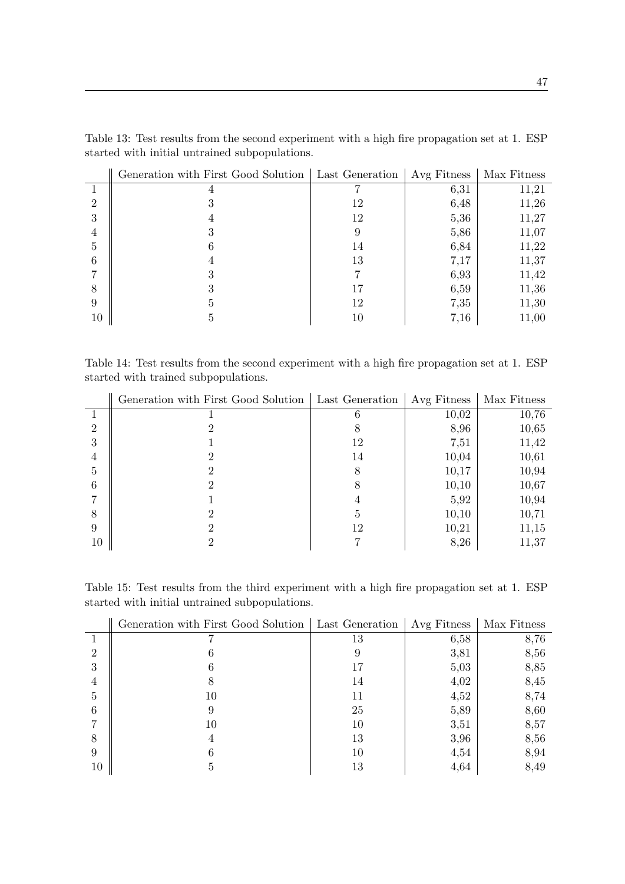|                | Generation with First Good Solution | Last Generation | Avg Fitness | Max Fitness |
|----------------|-------------------------------------|-----------------|-------------|-------------|
|                |                                     |                 | 6,31        | 11,21       |
| $\overline{2}$ |                                     | 12              | 6,48        | 11,26       |
| 3              |                                     | 12              | 5,36        | 11,27       |
| 4              |                                     | 9               | 5,86        | 11,07       |
| 5              |                                     | 14              | 6,84        | 11,22       |
| 6              |                                     | 13              | 7,17        | 11,37       |
|                |                                     |                 | 6,93        | 11,42       |
| 8              |                                     | 17              | 6,59        | 11,36       |
| 9              | b.                                  | 12              | 7,35        | 11,30       |
| 10             | Ð                                   | 10              | 7,16        | 11,00       |

Table 13: Test results from the second experiment with a high fire propagation set at 1. ESP started with initial untrained subpopulations.

Table 14: Test results from the second experiment with a high fire propagation set at 1. ESP started with trained subpopulations.

|                | Generation with First Good Solution | Last Generation | Avg Fitness | Max Fitness |
|----------------|-------------------------------------|-----------------|-------------|-------------|
|                |                                     |                 | 10,02       | 10,76       |
| $\overline{2}$ |                                     |                 | 8,96        | 10,65       |
| 3              |                                     | 12              | 7,51        | 11,42       |
| 4              |                                     | 14              | 10,04       | 10,61       |
| 5              |                                     | 8               | 10,17       | 10,94       |
| 6              |                                     | x               | 10,10       | 10,67       |
|                |                                     | 4               | 5,92        | 10,94       |
| 8              |                                     | Ð               | 10,10       | 10,71       |
| 9              |                                     | 12              | 10,21       | 11,15       |
| 10             |                                     |                 | 8,26        | 11,37       |

Table 15: Test results from the third experiment with a high fire propagation set at 1. ESP started with initial untrained subpopulations.

|               | Generation with First Good Solution | Last Generation | Avg Fitness | Max Fitness |
|---------------|-------------------------------------|-----------------|-------------|-------------|
|               |                                     | 13              | 6,58        | 8,76        |
| $\mathcal{D}$ |                                     |                 | 3,81        | 8,56        |
| 3             |                                     |                 | 5,03        | 8,85        |
| 4             |                                     | 14              | 4,02        | 8,45        |
| 5             | 10                                  | 11              | 4,52        | 8,74        |
| 6             | 9                                   | 25              | 5,89        | 8,60        |
|               | 10                                  | 10              | 3,51        | 8,57        |
| 8             |                                     | 13              | 3,96        | 8,56        |
| 9             |                                     | 10              | 4,54        | 8,94        |
| 10            | G                                   | 13              | 4,64        | 8,49        |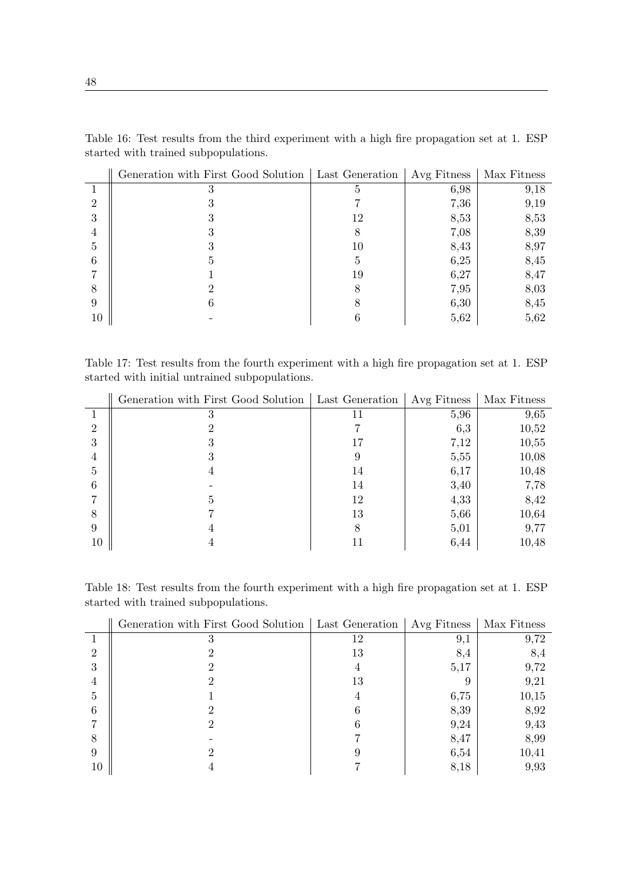|        | Generation with First Good Solution   Last Generation |    | Avg Fitness | Max Fitness |
|--------|-------------------------------------------------------|----|-------------|-------------|
|        |                                                       |    | 6,98        | 9,18        |
| ച      |                                                       |    | 7,36        | 9,19        |
| 3      |                                                       | 12 | 8,53        | 8,53        |
| 4      |                                                       |    | 7,08        | 8,39        |
| Ð      |                                                       | 10 | 8,43        | 8,97        |
| 6      |                                                       | h, | 6,25        | 8,45        |
|        |                                                       | 19 | 6,27        | 8,47        |
| 8      |                                                       | 8  | 7,95        | 8,03        |
| 9      |                                                       |    | 6,30        | 8,45        |
| $10\,$ |                                                       |    | 5,62        | 5,62        |

Table 16: Test results from the third experiment with a high fire propagation set at 1. ESP started with trained subpopulations.

Table 17: Test results from the fourth experiment with a high fire propagation set at 1. ESP started with initial untrained subpopulations.

|                | Generation with First Good Solution | Last Generation | Avg Fitness | Max Fitness |
|----------------|-------------------------------------|-----------------|-------------|-------------|
|                |                                     |                 | 5,96        | 9,65        |
| $\mathfrak{D}$ |                                     |                 | 6,3         | 10,52       |
| 3              |                                     | 17              | 7,12        | 10,55       |
| 4              |                                     |                 | 5,55        | 10,08       |
| 5              | 4                                   | 14              | 6,17        | 10,48       |
| 6              |                                     | 14              | 3,40        | 7,78        |
|                |                                     | 12              | 4,33        | 8,42        |
| 8              |                                     | 13              | 5,66        | 10,64       |
| 9              |                                     | 8               | 5,01        | 9,77        |
| 10             |                                     |                 | 6,44        | 10,48       |

Table 18: Test results from the fourth experiment with a high fire propagation set at 1. ESP started with trained subpopulations.

|              | Generation with First Good Solution | Last Generation | Avg Fitness | Max Fitness |
|--------------|-------------------------------------|-----------------|-------------|-------------|
|              |                                     | 12              | 9.1         | 9,72        |
| 2            |                                     | 13              | 8,4         | 8,4         |
| 3            |                                     |                 | 5,17        | 9,72        |
| 4            |                                     | 13              |             | 9,21        |
| $\mathbf{G}$ |                                     |                 | 6,75        | 10,15       |
| 6            |                                     |                 | 8,39        | 8,92        |
|              |                                     |                 | 9,24        | 9,43        |
| 8            |                                     |                 | 8,47        | 8,99        |
| 9            |                                     |                 | 6,54        | 10,41       |
| 10           |                                     |                 | 8,18        | 9,93        |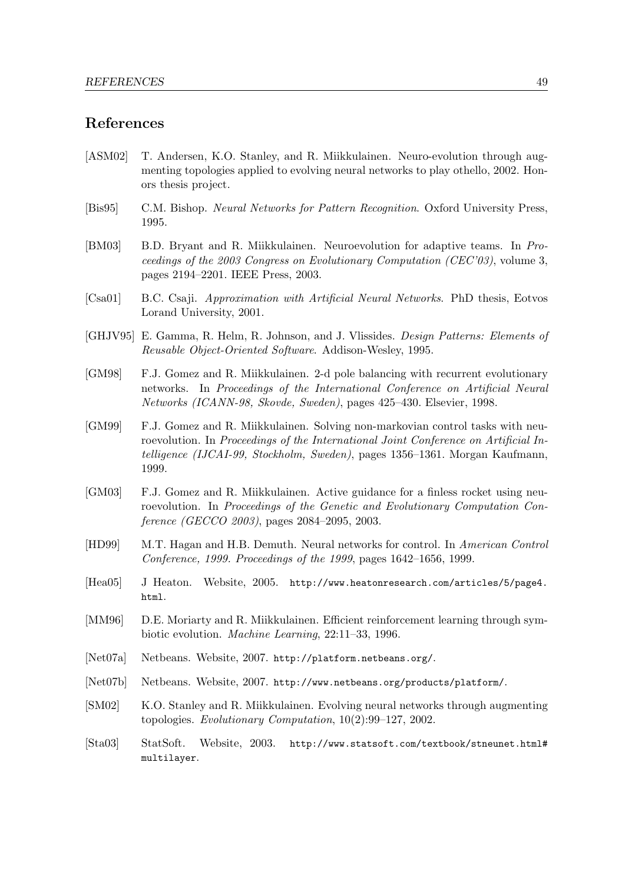### References

- [ASM02] T. Andersen, K.O. Stanley, and R. Miikkulainen. Neuro-evolution through augmenting topologies applied to evolving neural networks to play othello, 2002. Honors thesis project.
- [Bis95] C.M. Bishop. Neural Networks for Pattern Recognition. Oxford University Press, 1995.
- [BM03] B.D. Bryant and R. Miikkulainen. Neuroevolution for adaptive teams. In Proceedings of the 2003 Congress on Evolutionary Computation (CEC'03), volume 3, pages 2194–2201. IEEE Press, 2003.
- [Csa01] B.C. Csaji. Approximation with Artificial Neural Networks. PhD thesis, Eotvos Lorand University, 2001.
- [GHJV95] E. Gamma, R. Helm, R. Johnson, and J. Vlissides. Design Patterns: Elements of Reusable Object-Oriented Software. Addison-Wesley, 1995.
- [GM98] F.J. Gomez and R. Miikkulainen. 2-d pole balancing with recurrent evolutionary networks. In Proceedings of the International Conference on Artificial Neural Networks (ICANN-98, Skovde, Sweden), pages 425–430. Elsevier, 1998.
- [GM99] F.J. Gomez and R. Miikkulainen. Solving non-markovian control tasks with neuroevolution. In Proceedings of the International Joint Conference on Artificial Intelligence (IJCAI-99, Stockholm, Sweden), pages 1356–1361. Morgan Kaufmann, 1999.
- [GM03] F.J. Gomez and R. Miikkulainen. Active guidance for a finless rocket using neuroevolution. In Proceedings of the Genetic and Evolutionary Computation Conference (GECCO 2003), pages 2084–2095, 2003.
- [HD99] M.T. Hagan and H.B. Demuth. Neural networks for control. In American Control Conference, 1999. Proceedings of the 1999, pages 1642–1656, 1999.
- [Hea05] J Heaton. Website, 2005. http://www.heatonresearch.com/articles/5/page4. html.
- [MM96] D.E. Moriarty and R. Miikkulainen. Efficient reinforcement learning through symbiotic evolution. Machine Learning, 22:11–33, 1996.
- [Net07a] Netbeans. Website, 2007. http://platform.netbeans.org/.
- [Net07b] Netbeans. Website, 2007. http://www.netbeans.org/products/platform/.
- [SM02] K.O. Stanley and R. Miikkulainen. Evolving neural networks through augmenting topologies. Evolutionary Computation, 10(2):99–127, 2002.
- [Sta03] StatSoft. Website, 2003. http://www.statsoft.com/textbook/stneunet.html# multilayer.